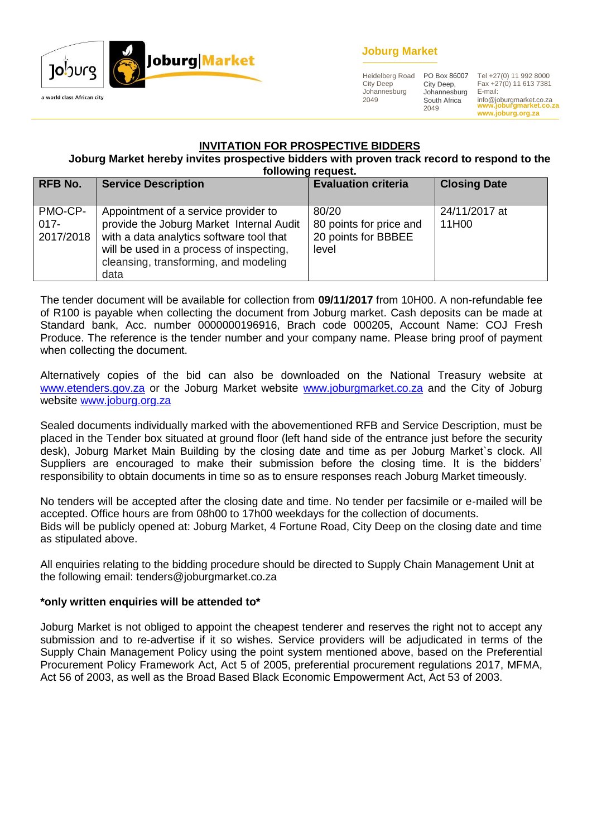

# **Joburg Market**

Heidelberg Road City Deep Johannesburg 2049

City Deep, Johannesburg South Africa 2049

**www.joburgmarket.co.za** info@joburgmarket.co.za PO Box 86007 Tel +27(0) 11 992 8000 Fax +27(0) 11 613 7381 E-mail:

**www.joburg.org.za**

# **INVITATION FOR PROSPECTIVE BIDDERS**

#### **Joburg Market hereby invites prospective bidders with proven track record to respond to the following request.**

|                                 | <b>IVIIVIIIIY IGYUGOL</b>                                                                                                                                                                                                 |                                                                  |                        |  |  |  |
|---------------------------------|---------------------------------------------------------------------------------------------------------------------------------------------------------------------------------------------------------------------------|------------------------------------------------------------------|------------------------|--|--|--|
| <b>RFB No.</b>                  | <b>Service Description</b>                                                                                                                                                                                                | <b>Evaluation criteria</b>                                       | <b>Closing Date</b>    |  |  |  |
| PMO-CP-<br>$017 -$<br>2017/2018 | Appointment of a service provider to<br>provide the Joburg Market Internal Audit<br>with a data analytics software tool that<br>will be used in a process of inspecting,<br>cleansing, transforming, and modeling<br>data | 80/20<br>80 points for price and<br>20 points for BBBEE<br>level | 24/11/2017 at<br>11H00 |  |  |  |

The tender document will be available for collection from **09/11/2017** from 10H00. A non-refundable fee of R100 is payable when collecting the document from Joburg market. Cash deposits can be made at Standard bank, Acc. number 0000000196916, Brach code 000205, Account Name: COJ Fresh Produce. The reference is the tender number and your company name. Please bring proof of payment when collecting the document.

Alternatively copies of the bid can also be downloaded on the National Treasury website at [www.etenders.gov.za](http://www.etenders.gov.za/) or the Joburg Market website [www.joburgmarket.co.za](http://www.joburgmarket.co.za/) and the City of Joburg website [www.joburg.org.za](http://www.joburg.org.za/)

Sealed documents individually marked with the abovementioned RFB and Service Description, must be placed in the Tender box situated at ground floor (left hand side of the entrance just before the security desk), Joburg Market Main Building by the closing date and time as per Joburg Market`s clock. All Suppliers are encouraged to make their submission before the closing time. It is the bidders' responsibility to obtain documents in time so as to ensure responses reach Joburg Market timeously.

No tenders will be accepted after the closing date and time. No tender per facsimile or e-mailed will be accepted. Office hours are from 08h00 to 17h00 weekdays for the collection of documents. Bids will be publicly opened at: Joburg Market, 4 Fortune Road, City Deep on the closing date and time as stipulated above.

All enquiries relating to the bidding procedure should be directed to Supply Chain Management Unit at the following email: tenders@joburgmarket.co.za

#### **\*only written enquiries will be attended to\***

Joburg Market is not obliged to appoint the cheapest tenderer and reserves the right not to accept any submission and to re-advertise if it so wishes. Service providers will be adjudicated in terms of the Supply Chain Management Policy using the point system mentioned above, based on the Preferential Procurement Policy Framework Act, Act 5 of 2005, preferential procurement regulations 2017, MFMA, Act 56 of 2003, as well as the Broad Based Black Economic Empowerment Act, Act 53 of 2003.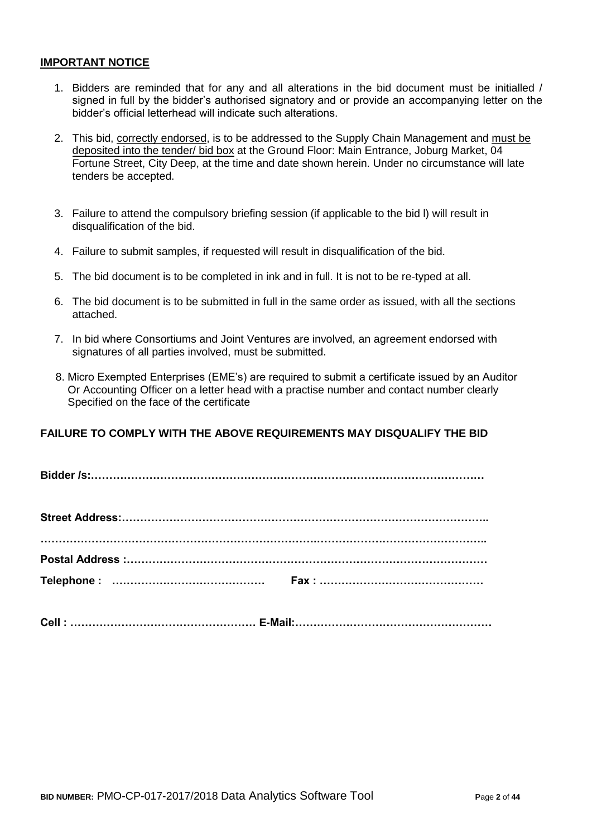#### **IMPORTANT NOTICE**

- 1. Bidders are reminded that for any and all alterations in the bid document must be initialled / signed in full by the bidder's authorised signatory and or provide an accompanying letter on the bidder's official letterhead will indicate such alterations.
- 2. This bid, correctly endorsed, is to be addressed to the Supply Chain Management and must be deposited into the tender/ bid box at the Ground Floor: Main Entrance, Joburg Market, 04 Fortune Street, City Deep, at the time and date shown herein. Under no circumstance will late tenders be accepted.
- 3. Failure to attend the compulsory briefing session (if applicable to the bid l) will result in disqualification of the bid.
- 4. Failure to submit samples, if requested will result in disqualification of the bid.
- 5. The bid document is to be completed in ink and in full. It is not to be re-typed at all.
- 6. The bid document is to be submitted in full in the same order as issued, with all the sections attached.
- 7. In bid where Consortiums and Joint Ventures are involved, an agreement endorsed with signatures of all parties involved, must be submitted.
- 8. Micro Exempted Enterprises (EME's) are required to submit a certificate issued by an Auditor Or Accounting Officer on a letter head with a practise number and contact number clearly Specified on the face of the certificate

# **FAILURE TO COMPLY WITH THE ABOVE REQUIREMENTS MAY DISQUALIFY THE BID**

**Bidder /s:………………………………………………………………………………………………**

**Cell : …………………………………………… E-Mail:………………………………………………**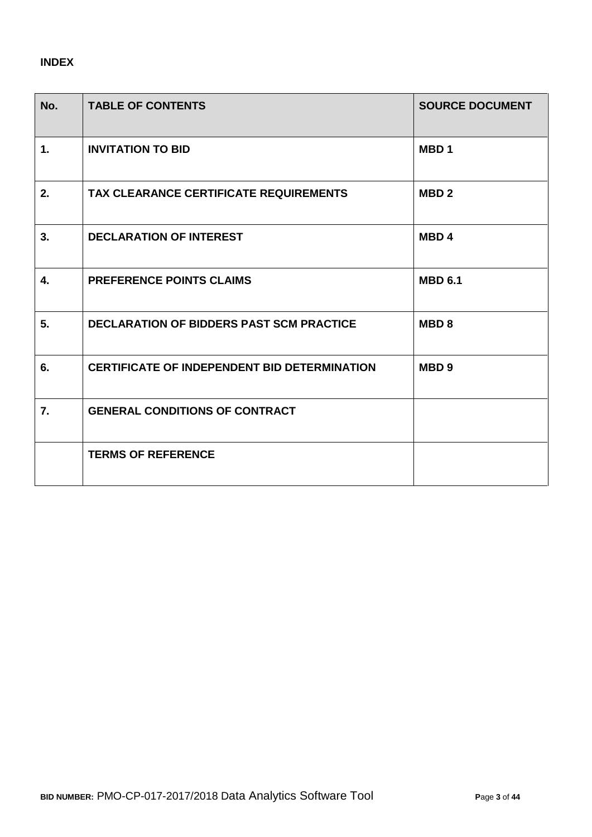# **INDEX**

| No. | <b>TABLE OF CONTENTS</b>                            | <b>SOURCE DOCUMENT</b> |
|-----|-----------------------------------------------------|------------------------|
| 1.  | <b>INVITATION TO BID</b>                            | MBD <sub>1</sub>       |
| 2.  | TAX CLEARANCE CERTIFICATE REQUIREMENTS              | MBD <sub>2</sub>       |
| 3.  | <b>DECLARATION OF INTEREST</b>                      | MBD <sub>4</sub>       |
| 4.  | <b>PREFERENCE POINTS CLAIMS</b>                     | <b>MBD 6.1</b>         |
| 5.  | <b>DECLARATION OF BIDDERS PAST SCM PRACTICE</b>     | MBD <sub>8</sub>       |
| 6.  | <b>CERTIFICATE OF INDEPENDENT BID DETERMINATION</b> | MBD <sub>9</sub>       |
| 7.  | <b>GENERAL CONDITIONS OF CONTRACT</b>               |                        |
|     | <b>TERMS OF REFERENCE</b>                           |                        |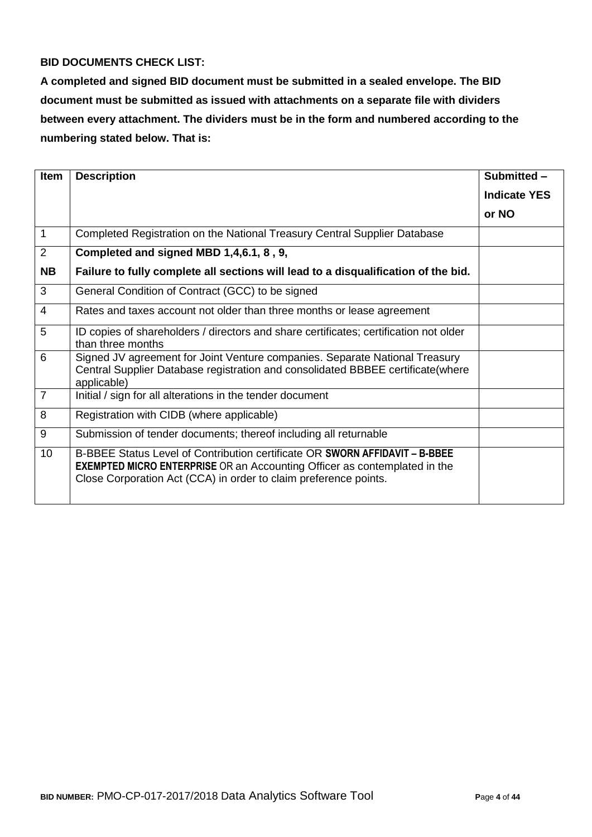# **BID DOCUMENTS CHECK LIST:**

**A completed and signed BID document must be submitted in a sealed envelope. The BID document must be submitted as issued with attachments on a separate file with dividers between every attachment. The dividers must be in the form and numbered according to the numbering stated below. That is:**

| <b>Item</b>    | <b>Description</b>                                                                                                                                                                                                                  | Submitted -         |
|----------------|-------------------------------------------------------------------------------------------------------------------------------------------------------------------------------------------------------------------------------------|---------------------|
|                |                                                                                                                                                                                                                                     | <b>Indicate YES</b> |
|                |                                                                                                                                                                                                                                     | or NO               |
| 1              | Completed Registration on the National Treasury Central Supplier Database                                                                                                                                                           |                     |
| 2              | Completed and signed MBD 1,4,6.1, 8, 9,                                                                                                                                                                                             |                     |
| <b>NB</b>      | Failure to fully complete all sections will lead to a disqualification of the bid.                                                                                                                                                  |                     |
| 3              | General Condition of Contract (GCC) to be signed                                                                                                                                                                                    |                     |
| $\overline{4}$ | Rates and taxes account not older than three months or lease agreement                                                                                                                                                              |                     |
| 5              | ID copies of shareholders / directors and share certificates; certification not older<br>than three months                                                                                                                          |                     |
| 6              | Signed JV agreement for Joint Venture companies. Separate National Treasury<br>Central Supplier Database registration and consolidated BBBEE certificate(where<br>applicable)                                                       |                     |
| $\overline{7}$ | Initial / sign for all alterations in the tender document                                                                                                                                                                           |                     |
| 8              | Registration with CIDB (where applicable)                                                                                                                                                                                           |                     |
| 9              | Submission of tender documents; thereof including all returnable                                                                                                                                                                    |                     |
| 10             | B-BBEE Status Level of Contribution certificate OR SWORN AFFIDAVIT - B-BBEE<br><b>EXEMPTED MICRO ENTERPRISE OR an Accounting Officer as contemplated in the</b><br>Close Corporation Act (CCA) in order to claim preference points. |                     |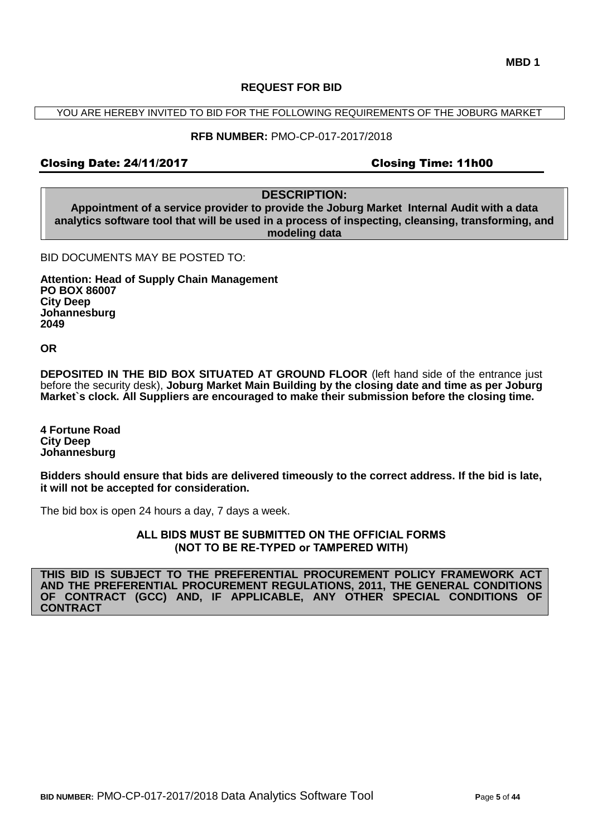#### **REQUEST FOR BID**

YOU ARE HEREBY INVITED TO BID FOR THE FOLLOWING REQUIREMENTS OF THE JOBURG MARKET

#### **RFB NUMBER:** PMO-CP-017-2017/2018

#### Closing Date: 24/11/2017 Closing Time: 11h00

**DESCRIPTION:**

**Appointment of a service provider to provide the Joburg Market Internal Audit with a data analytics software tool that will be used in a process of inspecting, cleansing, transforming, and modeling data**

BID DOCUMENTS MAY BE POSTED TO:

**Attention: Head of Supply Chain Management PO BOX 86007 City Deep Johannesburg 2049**

**OR**

**DEPOSITED IN THE BID BOX SITUATED AT GROUND FLOOR** (left hand side of the entrance just before the security desk), **Joburg Market Main Building by the closing date and time as per Joburg Market`s clock. All Suppliers are encouraged to make their submission before the closing time.**

**4 Fortune Road City Deep Johannesburg** 

**Bidders should ensure that bids are delivered timeously to the correct address. If the bid is late, it will not be accepted for consideration.**

The bid box is open 24 hours a day, 7 days a week.

**ALL BIDS MUST BE SUBMITTED ON THE OFFICIAL FORMS (NOT TO BE RE-TYPED or TAMPERED WITH)**

**THIS BID IS SUBJECT TO THE PREFERENTIAL PROCUREMENT POLICY FRAMEWORK ACT AND THE PREFERENTIAL PROCUREMENT REGULATIONS, 2011, THE GENERAL CONDITIONS OF CONTRACT (GCC) AND, IF APPLICABLE, ANY OTHER SPECIAL CONDITIONS OF CONTRACT**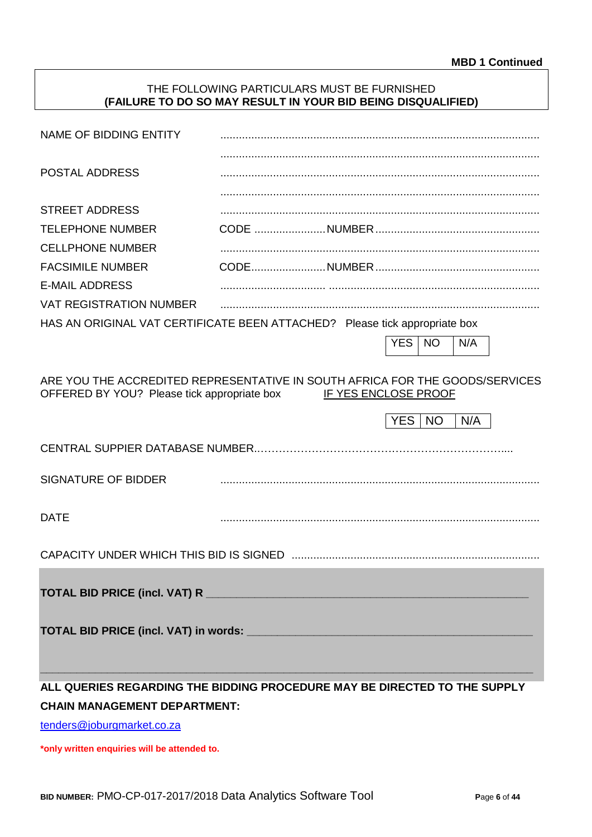#### THE FOLLOWING PARTICULARS MUST BE FURNISHED **(FAILURE TO DO SO MAY RESULT IN YOUR BID BEING DISQUALIFIED)**

| NAME OF BIDDING ENTITY                                                                                                      |                                     |                      |            |           |     |  |
|-----------------------------------------------------------------------------------------------------------------------------|-------------------------------------|----------------------|------------|-----------|-----|--|
| <b>POSTAL ADDRESS</b>                                                                                                       |                                     |                      |            |           |     |  |
|                                                                                                                             |                                     |                      |            |           |     |  |
| <b>STREET ADDRESS</b>                                                                                                       |                                     |                      |            |           |     |  |
| <b>TELEPHONE NUMBER</b>                                                                                                     |                                     |                      |            |           |     |  |
| <b>CELLPHONE NUMBER</b>                                                                                                     |                                     |                      |            |           |     |  |
| <b>FACSIMILE NUMBER</b>                                                                                                     |                                     |                      |            |           |     |  |
| <b>E-MAIL ADDRESS</b>                                                                                                       |                                     |                      |            |           |     |  |
| <b>VAT REGISTRATION NUMBER</b>                                                                                              |                                     |                      |            |           |     |  |
| HAS AN ORIGINAL VAT CERTIFICATE BEEN ATTACHED? Please tick appropriate box                                                  |                                     |                      |            |           |     |  |
|                                                                                                                             |                                     |                      | <b>YES</b> | <b>NO</b> | N/A |  |
|                                                                                                                             |                                     |                      |            |           |     |  |
| ARE YOU THE ACCREDITED REPRESENTATIVE IN SOUTH AFRICA FOR THE GOODS/SERVICES<br>OFFERED BY YOU? Please tick appropriate box |                                     | IF YES ENCLOSE PROOF |            |           |     |  |
|                                                                                                                             |                                     |                      | YES.       | <b>NO</b> | N/A |  |
|                                                                                                                             |                                     |                      |            |           |     |  |
| <b>SIGNATURE OF BIDDER</b>                                                                                                  |                                     |                      |            |           |     |  |
| <b>DATE</b>                                                                                                                 |                                     |                      |            |           |     |  |
|                                                                                                                             |                                     |                      |            |           |     |  |
|                                                                                                                             |                                     |                      |            |           |     |  |
|                                                                                                                             |                                     |                      |            |           |     |  |
| ALL QUERIES REGARDING THE BIDDING PROCEDURE MAY BE DIRECTED TO THE SUPPLY                                                   |                                     |                      |            |           |     |  |
|                                                                                                                             | <b>CHAIN MANAGEMENT DEPARTMENT:</b> |                      |            |           |     |  |

[tenders@joburgmarket.co.za](mailto:tenders@joburgmarket.co.za)

**\*only written enquiries will be attended to.**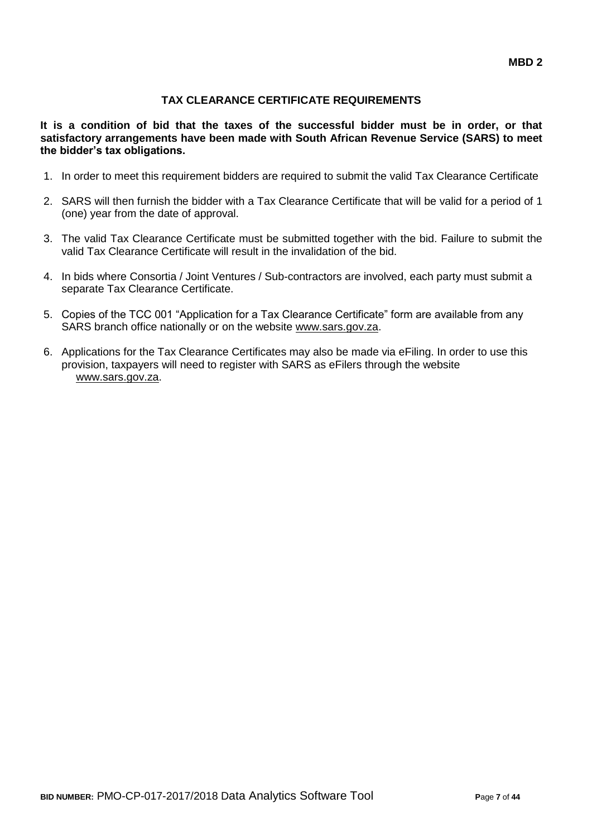# **TAX CLEARANCE CERTIFICATE REQUIREMENTS**

**It is a condition of bid that the taxes of the successful bidder must be in order, or that satisfactory arrangements have been made with South African Revenue Service (SARS) to meet the bidder's tax obligations.**

- 1. In order to meet this requirement bidders are required to submit the valid Tax Clearance Certificate
- 2. SARS will then furnish the bidder with a Tax Clearance Certificate that will be valid for a period of 1 (one) year from the date of approval.
- 3. The valid Tax Clearance Certificate must be submitted together with the bid. Failure to submit the valid Tax Clearance Certificate will result in the invalidation of the bid.
- 4. In bids where Consortia / Joint Ventures / Sub-contractors are involved, each party must submit a separate Tax Clearance Certificate.
- 5. Copies of the TCC 001 "Application for a Tax Clearance Certificate" form are available from any SARS branch office nationally or on the website [www.sars.gov.za.](http://www.sars.gov.za/)
- 6. Applications for the Tax Clearance Certificates may also be made via eFiling. In order to use this provision, taxpayers will need to register with SARS as eFilers through the website [www.sars.gov.za.](http://www.sars.gov.za/)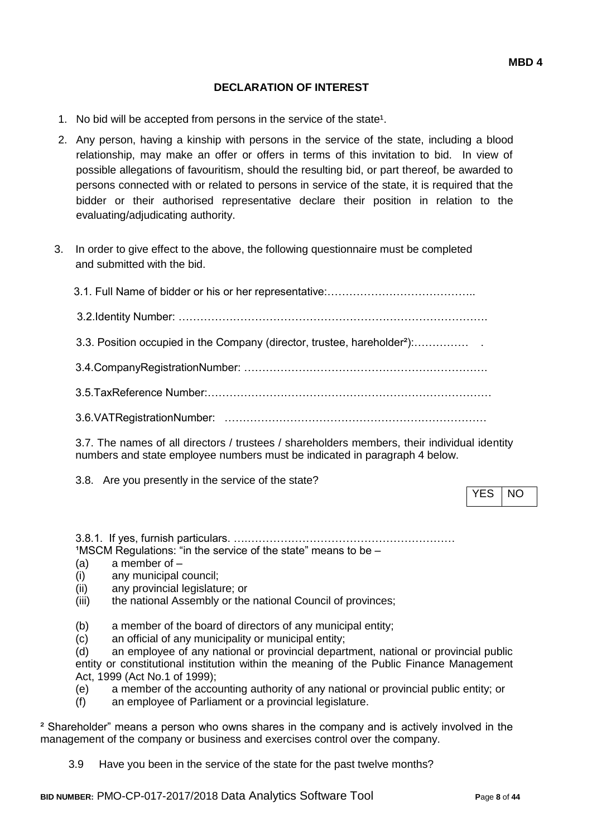## **DECLARATION OF INTEREST**

- 1. No bid will be accepted from persons in the service of the state<sup>1</sup>.
- 2. Any person, having a kinship with persons in the service of the state, including a blood relationship, may make an offer or offers in terms of this invitation to bid. In view of possible allegations of favouritism, should the resulting bid, or part thereof, be awarded to persons connected with or related to persons in service of the state, it is required that the bidder or their authorised representative declare their position in relation to the evaluating/adjudicating authority.
- 3. In order to give effect to the above, the following questionnaire must be completed and submitted with the bid.

| 3.3. Position occupied in the Company (director, trustee, hareholder <sup>2</sup> ): |
|--------------------------------------------------------------------------------------|
|                                                                                      |
|                                                                                      |
|                                                                                      |
|                                                                                      |

3.7. The names of all directors / trustees / shareholders members, their individual identity numbers and state employee numbers must be indicated in paragraph 4 below.

3.8. Are you presently in the service of the state?

YES INO

3.8.1. If yes, furnish particulars. ….…………………………………………………  $1$ MSCM Regulations: "in the service of the state" means to be  $-$ 

- (a) a member of –
- (i) any municipal council;
- (ii) any provincial legislature; or
- (iii) the national Assembly or the national Council of provinces;
- (b) a member of the board of directors of any municipal entity;
- (c) an official of any municipality or municipal entity;

(d) an employee of any national or provincial department, national or provincial public entity or constitutional institution within the meaning of the Public Finance Management Act, 1999 (Act No.1 of 1999);

- (e) a member of the accounting authority of any national or provincial public entity; or
- (f) an employee of Parliament or a provincial legislature.

² Shareholder" means a person who owns shares in the company and is actively involved in the management of the company or business and exercises control over the company.

3.9 Have you been in the service of the state for the past twelve months?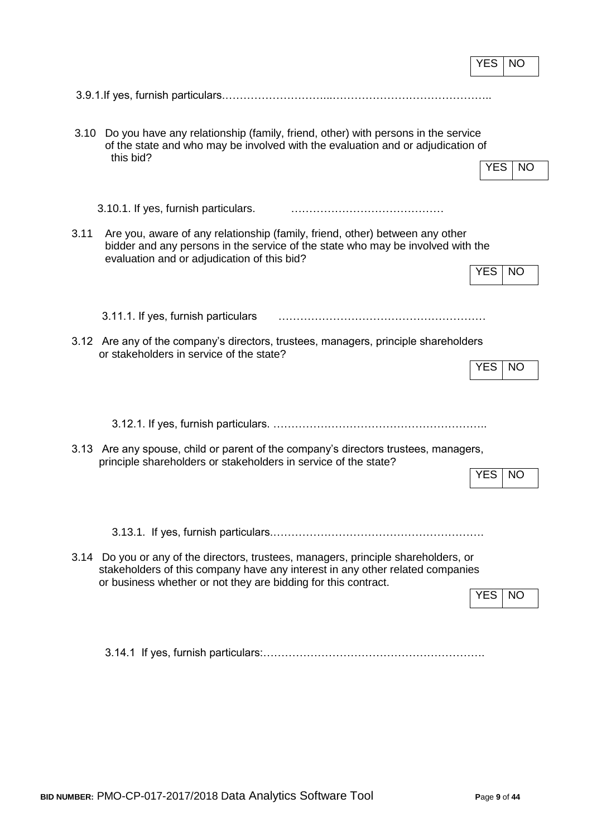|      |                                                                                                                                                                                                                                        | <b>YES</b> | NO        |
|------|----------------------------------------------------------------------------------------------------------------------------------------------------------------------------------------------------------------------------------------|------------|-----------|
|      |                                                                                                                                                                                                                                        |            |           |
| 3.10 | Do you have any relationship (family, friend, other) with persons in the service<br>of the state and who may be involved with the evaluation and or adjudication of<br>this bid?                                                       | <b>YES</b> | <b>NO</b> |
|      | 3.10.1. If yes, furnish particulars.                                                                                                                                                                                                   |            |           |
| 3.11 | Are you, aware of any relationship (family, friend, other) between any other<br>bidder and any persons in the service of the state who may be involved with the<br>evaluation and or adjudication of this bid?                         | <b>YES</b> | <b>NO</b> |
|      | 3.11.1. If yes, furnish particulars                                                                                                                                                                                                    |            |           |
|      | 3.12 Are any of the company's directors, trustees, managers, principle shareholders<br>or stakeholders in service of the state?                                                                                                        | <b>YES</b> | <b>NO</b> |
|      |                                                                                                                                                                                                                                        |            |           |
|      | 3.13 Are any spouse, child or parent of the company's directors trustees, managers,<br>principle shareholders or stakeholders in service of the state?                                                                                 | <b>YES</b> | <b>NO</b> |
|      |                                                                                                                                                                                                                                        |            |           |
|      | 3.14 Do you or any of the directors, trustees, managers, principle shareholders, or<br>stakeholders of this company have any interest in any other related companies<br>or business whether or not they are bidding for this contract. | YES        | <b>NO</b> |
|      |                                                                                                                                                                                                                                        |            |           |

r.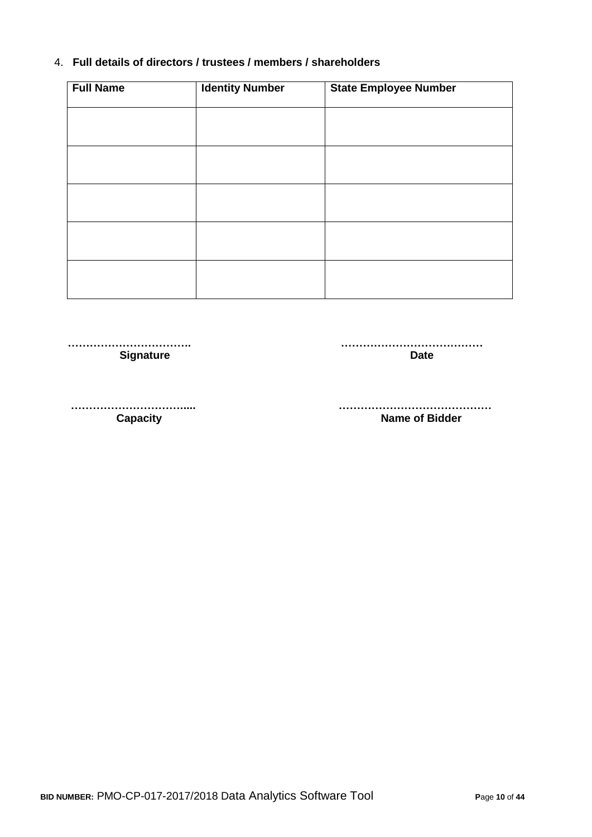# 4. **Full details of directors / trustees / members / shareholders**

| <b>Full Name</b> | <b>Identity Number</b> | <b>State Employee Number</b> |
|------------------|------------------------|------------------------------|
|                  |                        |                              |
|                  |                        |                              |
|                  |                        |                              |
|                  |                        |                              |
|                  |                        |                              |
|                  |                        |                              |
|                  |                        |                              |
|                  |                        |                              |
|                  |                        |                              |
|                  |                        |                              |

 **……………………………. ………………………………… Signature Date** 

 **…………………………..... …………………………………… Name of Bidder**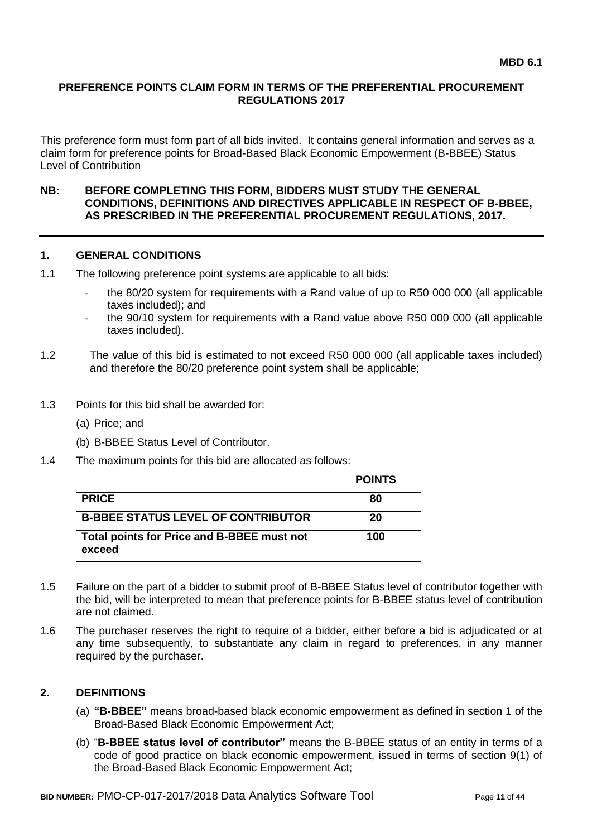#### **PREFERENCE POINTS CLAIM FORM IN TERMS OF THE PREFERENTIAL PROCUREMENT REGULATIONS 2017**

This preference form must form part of all bids invited. It contains general information and serves as a claim form for preference points for Broad-Based Black Economic Empowerment (B-BBEE) Status Level of Contribution

#### **NB: BEFORE COMPLETING THIS FORM, BIDDERS MUST STUDY THE GENERAL CONDITIONS, DEFINITIONS AND DIRECTIVES APPLICABLE IN RESPECT OF B-BBEE, AS PRESCRIBED IN THE PREFERENTIAL PROCUREMENT REGULATIONS, 2017.**

#### **1. GENERAL CONDITIONS**

- 1.1 The following preference point systems are applicable to all bids:
	- the 80/20 system for requirements with a Rand value of up to R50 000 000 (all applicable taxes included); and
	- the 90/10 system for requirements with a Rand value above R50 000 000 (all applicable taxes included).
- 1.2 The value of this bid is estimated to not exceed R50 000 000 (all applicable taxes included) and therefore the 80/20 preference point system shall be applicable;
- 1.3 Points for this bid shall be awarded for:
	- (a) Price; and
	- (b) B-BBEE Status Level of Contributor.
- 1.4 The maximum points for this bid are allocated as follows:

|                                                      | <b>POINTS</b> |
|------------------------------------------------------|---------------|
| <b>PRICE</b>                                         | 80            |
| <b>B-BBEE STATUS LEVEL OF CONTRIBUTOR</b>            | 20            |
| Total points for Price and B-BBEE must not<br>exceed | 100           |

- 1.5 Failure on the part of a bidder to submit proof of B-BBEE Status level of contributor together with the bid, will be interpreted to mean that preference points for B-BBEE status level of contribution are not claimed.
- 1.6 The purchaser reserves the right to require of a bidder, either before a bid is adjudicated or at any time subsequently, to substantiate any claim in regard to preferences, in any manner required by the purchaser.

### **2. DEFINITIONS**

- (a) **"B-BBEE"** means broad-based black economic empowerment as defined in section 1 of the Broad-Based Black Economic Empowerment Act;
- (b) "**B-BBEE status level of contributor"** means the B-BBEE status of an entity in terms of a code of good practice on black economic empowerment, issued in terms of section 9(1) of the Broad-Based Black Economic Empowerment Act;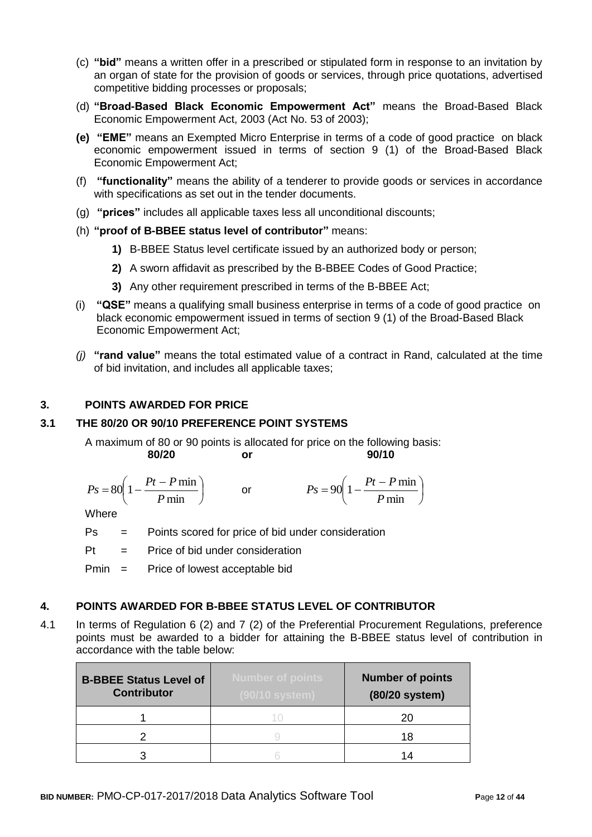- (c) **"bid"** means a written offer in a prescribed or stipulated form in response to an invitation by an organ of state for the provision of goods or services, through price quotations, advertised competitive bidding processes or proposals;
- (d) **"Broad-Based Black Economic Empowerment Act"** means the Broad-Based Black Economic Empowerment Act, 2003 (Act No. 53 of 2003);
- **(e) "EME"** means an Exempted Micro Enterprise in terms of a code of good practice on black economic empowerment issued in terms of section 9 (1) of the Broad-Based Black Economic Empowerment Act;
- (f) **"functionality"** means the ability of a tenderer to provide goods or services in accordance with specifications as set out in the tender documents.
- (g) **"prices"** includes all applicable taxes less all unconditional discounts;
- (h) **"proof of B-BBEE status level of contributor"** means:
	- **1)** B-BBEE Status level certificate issued by an authorized body or person;
	- **2)** A sworn affidavit as prescribed by the B-BBEE Codes of Good Practice;
	- **3)** Any other requirement prescribed in terms of the B-BBEE Act;
- (i) **"QSE"** means a qualifying small business enterprise in terms of a code of good practice on black economic empowerment issued in terms of section 9 (1) of the Broad-Based Black Economic Empowerment Act;
- *(j)* **"rand value"** means the total estimated value of a contract in Rand, calculated at the time of bid invitation, and includes all applicable taxes;

#### **3. POINTS AWARDED FOR PRICE**

## **3.1 THE 80/20 OR 90/10 PREFERENCE POINT SYSTEMS**

A maximum of 80 or 90 points is allocated for price on the following basis: **80/20 or 90/10**

$$
Ps = 80\left(1 - \frac{Pt - P \min}{P \min}\right) \qquad \text{or} \qquad \qquad Ps = 90\left(1 - \frac{Pt - P \min}{P \min}\right)
$$

**Where** 

Ps = Points scored for price of bid under consideration

 $Pt =$  Price of bid under consideration

Pmin = Price of lowest acceptable bid

#### **4. POINTS AWARDED FOR B-BBEE STATUS LEVEL OF CONTRIBUTOR**

4.1 In terms of Regulation 6 (2) and 7 (2) of the Preferential Procurement Regulations, preference points must be awarded to a bidder for attaining the B-BBEE status level of contribution in accordance with the table below:

| <b>B-BBEE Status Level of</b><br><b>Contributor</b> | <b>Number of points</b><br>(90/10 system) | <b>Number of points</b><br>(80/20 system) |
|-----------------------------------------------------|-------------------------------------------|-------------------------------------------|
|                                                     |                                           | 20                                        |
|                                                     |                                           | 18                                        |
|                                                     |                                           | 1Δ                                        |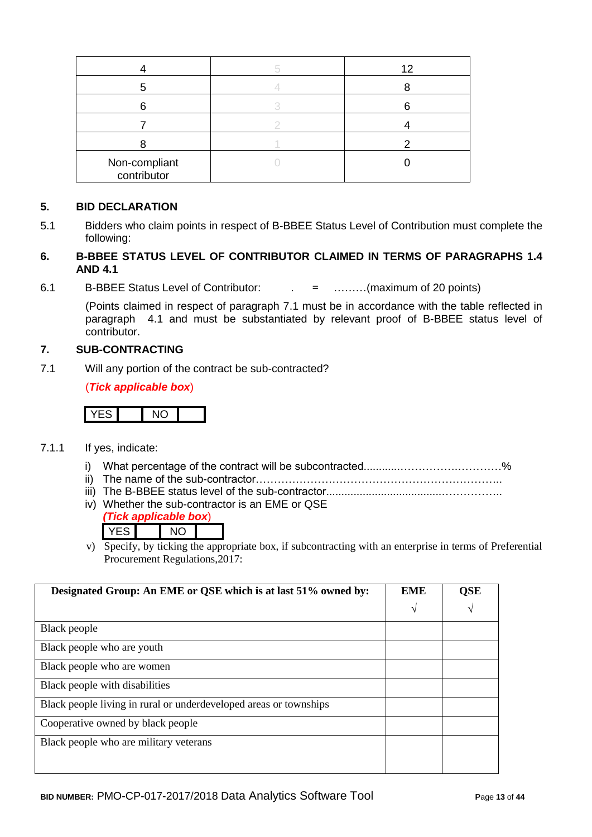|                              | 12 |
|------------------------------|----|
|                              |    |
|                              |    |
|                              |    |
|                              |    |
| Non-compliant<br>contributor |    |

### **5. BID DECLARATION**

5.1 Bidders who claim points in respect of B-BBEE Status Level of Contribution must complete the following:

# **6. B-BBEE STATUS LEVEL OF CONTRIBUTOR CLAIMED IN TERMS OF PARAGRAPHS 1.4 AND 4.1**

6.1 B-BBEE Status Level of Contributor: . = ………(maximum of 20 points)

(Points claimed in respect of paragraph 7.1 must be in accordance with the table reflected in paragraph 4.1 and must be substantiated by relevant proof of B-BBEE status level of contributor.

# **7. SUB-CONTRACTING**

7.1 Will any portion of the contract be sub-contracted?

(*Tick applicable box*)

# YES NO

- 7.1.1 If yes, indicate:
	- i) What percentage of the contract will be subcontracted............…………….…………%
	- ii) The name of the sub-contractor…………………………………………………………..
	- iii) The B-BBEE status level of the sub-contractor......................................……………..
	- iv) Whether the sub-contractor is an EME or QSE

|  | ck annlicable box) |  |
|--|--------------------|--|
|  |                    |  |

v) Specify, by ticking the appropriate box, if subcontracting with an enterprise in terms of Preferential Procurement Regulations,2017:

| Designated Group: An EME or QSE which is at last 51% owned by:    |   | QSE |
|-------------------------------------------------------------------|---|-----|
|                                                                   | N | V   |
| Black people                                                      |   |     |
| Black people who are youth                                        |   |     |
| Black people who are women                                        |   |     |
| Black people with disabilities                                    |   |     |
| Black people living in rural or underdeveloped areas or townships |   |     |
| Cooperative owned by black people                                 |   |     |
| Black people who are military veterans                            |   |     |
|                                                                   |   |     |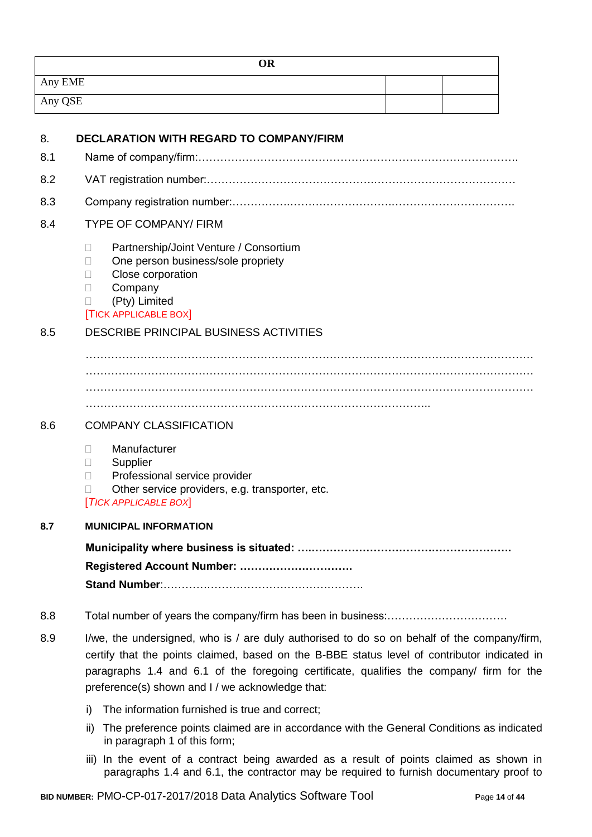| <b>OR</b> |  |
|-----------|--|
| Any EME   |  |
| Any QSE   |  |

| 8.  | <b>DECLARATION WITH REGARD TO COMPANY/FIRM</b>                                                                                                                                                                                                                                                                                              |
|-----|---------------------------------------------------------------------------------------------------------------------------------------------------------------------------------------------------------------------------------------------------------------------------------------------------------------------------------------------|
| 8.1 |                                                                                                                                                                                                                                                                                                                                             |
| 8.2 |                                                                                                                                                                                                                                                                                                                                             |
| 8.3 |                                                                                                                                                                                                                                                                                                                                             |
| 8.4 | <b>TYPE OF COMPANY/ FIRM</b>                                                                                                                                                                                                                                                                                                                |
|     | Partnership/Joint Venture / Consortium<br>$\mathbf{L}$<br>One person business/sole propriety<br>П<br>Close corporation<br>Ш<br>Company<br>$\Box$<br>(Pty) Limited<br>Ш<br><b>TICK APPLICABLE BOX</b>                                                                                                                                        |
| 8.5 | <b>DESCRIBE PRINCIPAL BUSINESS ACTIVITIES</b>                                                                                                                                                                                                                                                                                               |
|     |                                                                                                                                                                                                                                                                                                                                             |
|     |                                                                                                                                                                                                                                                                                                                                             |
|     |                                                                                                                                                                                                                                                                                                                                             |
| 8.6 | <b>COMPANY CLASSIFICATION</b>                                                                                                                                                                                                                                                                                                               |
|     | Manufacturer<br>Ш<br>Supplier<br>П<br>Professional service provider<br>П<br>Other service providers, e.g. transporter, etc.<br>П<br><b>TICK APPLICABLE BOX</b>                                                                                                                                                                              |
| 8.7 | <b>MUNICIPAL INFORMATION</b>                                                                                                                                                                                                                                                                                                                |
|     |                                                                                                                                                                                                                                                                                                                                             |
|     | Registered Account Number:                                                                                                                                                                                                                                                                                                                  |
|     |                                                                                                                                                                                                                                                                                                                                             |
| 8.8 |                                                                                                                                                                                                                                                                                                                                             |
| 8.9 | I/we, the undersigned, who is / are duly authorised to do so on behalf of the company/firm,<br>certify that the points claimed, based on the B-BBE status level of contributor indicated in<br>paragraphs 1.4 and 6.1 of the foregoing certificate, qualifies the company/ firm for the<br>preference(s) shown and I / we acknowledge that: |
|     | The information furnished is true and correct;<br>i)                                                                                                                                                                                                                                                                                        |
|     | The preference points claimed are in accordance with the General Conditions as indicated<br>ii)<br>in paragraph 1 of this form;                                                                                                                                                                                                             |

iii) In the event of a contract being awarded as a result of points claimed as shown in paragraphs 1.4 and 6.1, the contractor may be required to furnish documentary proof to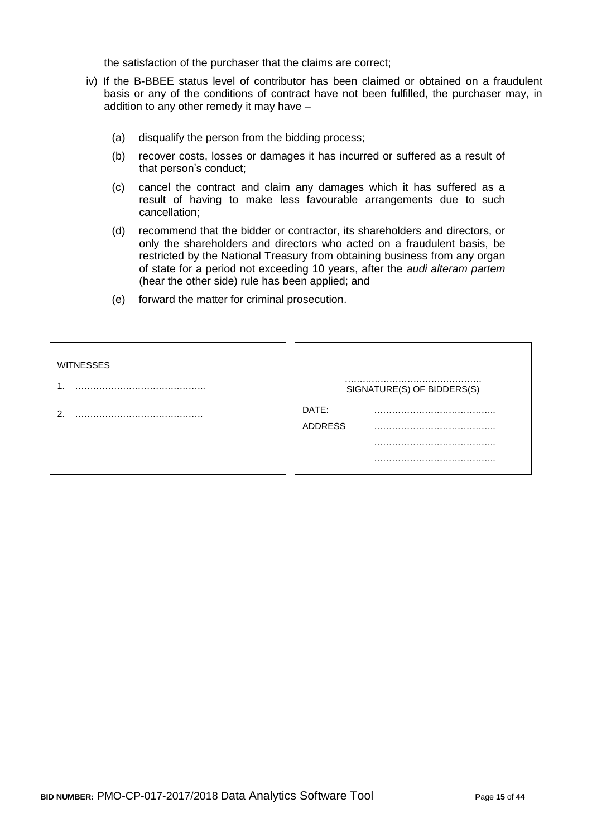the satisfaction of the purchaser that the claims are correct;

- iv) If the B-BBEE status level of contributor has been claimed or obtained on a fraudulent basis or any of the conditions of contract have not been fulfilled, the purchaser may, in addition to any other remedy it may have –
	- (a) disqualify the person from the bidding process;
	- (b) recover costs, losses or damages it has incurred or suffered as a result of that person's conduct;
	- (c) cancel the contract and claim any damages which it has suffered as a result of having to make less favourable arrangements due to such cancellation;
	- (d) recommend that the bidder or contractor, its shareholders and directors, or only the shareholders and directors who acted on a fraudulent basis, be restricted by the National Treasury from obtaining business from any organ of state for a period not exceeding 10 years, after the *audi alteram partem* (hear the other side) rule has been applied; and
	- (e) forward the matter for criminal prosecution.

| <b>WITNESSES</b> | SIGNATURE(S) OF BIDDERS(S) |
|------------------|----------------------------|
|                  | DATE:<br><b>ADDRESS</b>    |
|                  |                            |
|                  |                            |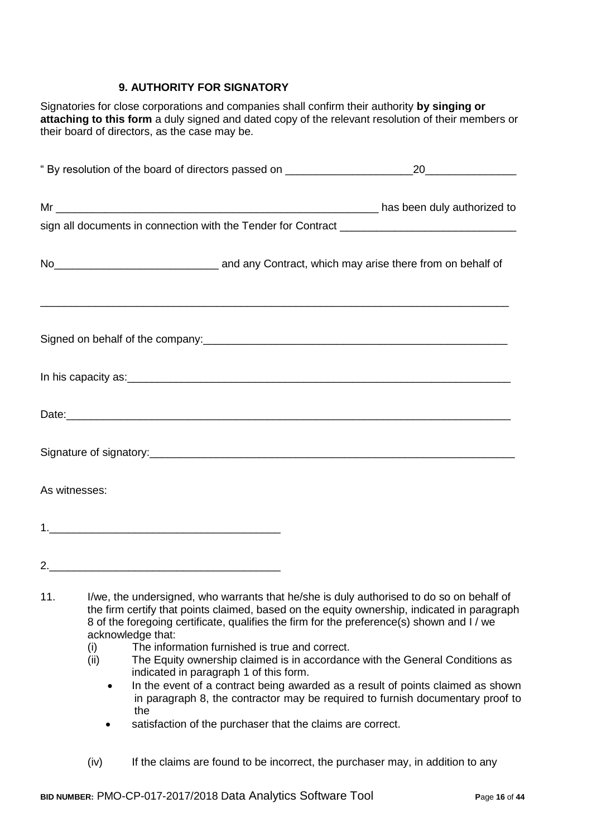# **9. AUTHORITY FOR SIGNATORY**

Signatories for close corporations and companies shall confirm their authority **by singing or attaching to this form** a duly signed and dated copy of the relevant resolution of their members or their board of directors, as the case may be.

|                                                                                                           | " By resolution of the board of directors passed on ____________________________ |  |                                                                                                                                                                                                                                                                                      |
|-----------------------------------------------------------------------------------------------------------|----------------------------------------------------------------------------------|--|--------------------------------------------------------------------------------------------------------------------------------------------------------------------------------------------------------------------------------------------------------------------------------------|
|                                                                                                           |                                                                                  |  |                                                                                                                                                                                                                                                                                      |
|                                                                                                           |                                                                                  |  |                                                                                                                                                                                                                                                                                      |
| No <sub>_________________________________</sub> and any Contract, which may arise there from on behalf of |                                                                                  |  |                                                                                                                                                                                                                                                                                      |
|                                                                                                           |                                                                                  |  |                                                                                                                                                                                                                                                                                      |
|                                                                                                           |                                                                                  |  |                                                                                                                                                                                                                                                                                      |
|                                                                                                           |                                                                                  |  |                                                                                                                                                                                                                                                                                      |
|                                                                                                           |                                                                                  |  |                                                                                                                                                                                                                                                                                      |
|                                                                                                           | As witnesses:                                                                    |  |                                                                                                                                                                                                                                                                                      |
|                                                                                                           |                                                                                  |  |                                                                                                                                                                                                                                                                                      |
|                                                                                                           |                                                                                  |  |                                                                                                                                                                                                                                                                                      |
| 11.                                                                                                       |                                                                                  |  | I/we, the undersigned, who warrants that he/she is duly authorised to do so on behalf of<br>the firm certify that points claimed, based on the equity ownership, indicated in paragraph<br>8 of the foregoing certificate, qualifies the firm for the preference(s) shown and I / we |

- acknowledge that:
- (i) The information furnished is true and correct.
- (ii) The Equity ownership claimed is in accordance with the General Conditions as indicated in paragraph 1 of this form.
	- In the event of a contract being awarded as a result of points claimed as shown in paragraph 8, the contractor may be required to furnish documentary proof to the
	- satisfaction of the purchaser that the claims are correct.
- (iv) If the claims are found to be incorrect, the purchaser may, in addition to any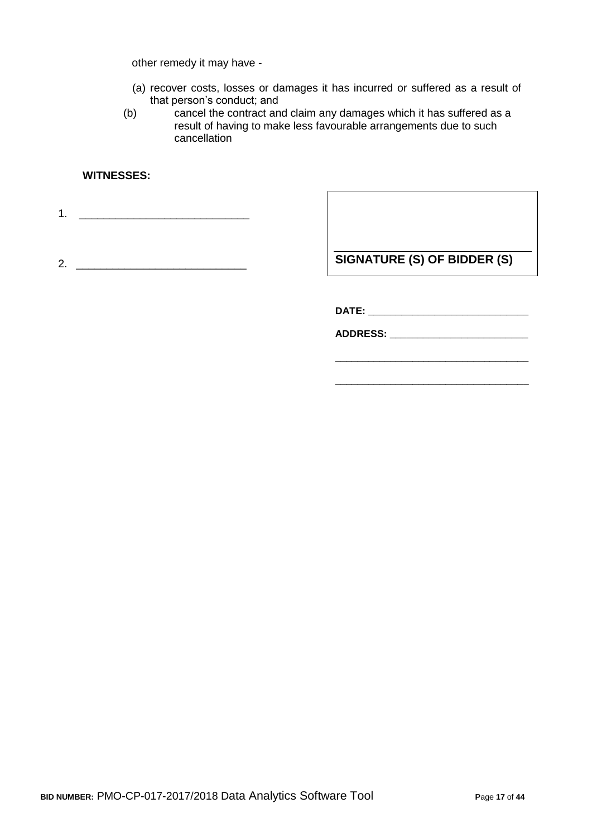other remedy it may have -

- (a) recover costs, losses or damages it has incurred or suffered as a result of that person's conduct; and
- (b) cancel the contract and claim any damages which it has suffered as a result of having to make less favourable arrangements due to such cancellation

## **WITNESSES:**

1. \_\_\_\_\_\_\_\_\_\_\_\_\_\_\_\_\_\_\_\_\_\_\_\_\_\_\_\_

2. \_\_\_\_\_\_\_\_\_\_\_\_\_\_\_\_\_\_\_\_\_\_\_\_\_\_\_\_

**SIGNATURE (S) OF BIDDER (S)**

\_\_\_\_\_\_\_\_\_\_\_\_\_\_\_\_\_\_\_\_\_\_\_\_\_\_\_\_\_\_\_\_\_\_\_

\_\_\_\_\_\_\_\_\_\_\_\_\_\_\_\_\_\_\_\_\_\_\_\_\_\_\_\_\_\_\_\_\_\_\_

**DATE: \_\_\_\_\_\_\_\_\_\_\_\_\_\_\_\_\_\_\_\_\_\_\_\_\_\_\_\_\_**

**ADDRESS: \_\_\_\_\_\_\_\_\_\_\_\_\_\_\_\_\_\_\_\_\_\_\_\_\_**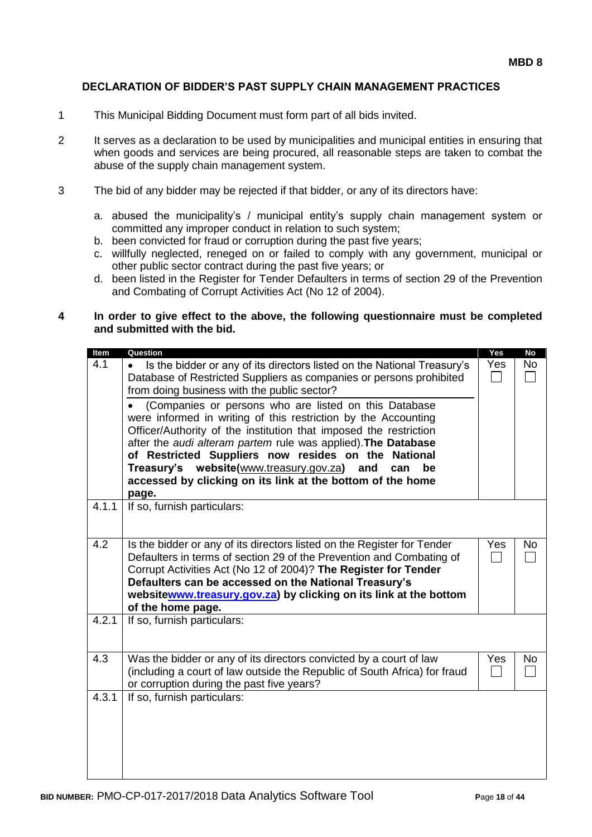#### **DECLARATION OF BIDDER'S PAST SUPPLY CHAIN MANAGEMENT PRACTICES**

- 1 This Municipal Bidding Document must form part of all bids invited.
- 2 It serves as a declaration to be used by municipalities and municipal entities in ensuring that when goods and services are being procured, all reasonable steps are taken to combat the abuse of the supply chain management system.
- 3 The bid of any bidder may be rejected if that bidder, or any of its directors have:
	- a. abused the municipality's / municipal entity's supply chain management system or committed any improper conduct in relation to such system;
	- b. been convicted for fraud or corruption during the past five years;
	- c. willfully neglected, reneged on or failed to comply with any government, municipal or other public sector contract during the past five years; or
	- d. been listed in the Register for Tender Defaulters in terms of section 29 of the Prevention and Combating of Corrupt Activities Act (No 12 of 2004).

#### **4 In order to give effect to the above, the following questionnaire must be completed and submitted with the bid.**

| Item  | Question                                                                                                                                                                                                                                                                                                                                                                                           | Yes | <b>No</b> |
|-------|----------------------------------------------------------------------------------------------------------------------------------------------------------------------------------------------------------------------------------------------------------------------------------------------------------------------------------------------------------------------------------------------------|-----|-----------|
| 4.1   | Is the bidder or any of its directors listed on the National Treasury's<br>$\bullet$<br>Database of Restricted Suppliers as companies or persons prohibited<br>from doing business with the public sector?<br>(Companies or persons who are listed on this Database                                                                                                                                | Yes | <b>No</b> |
|       | were informed in writing of this restriction by the Accounting<br>Officer/Authority of the institution that imposed the restriction<br>after the audi alteram partem rule was applied). The Database<br>of Restricted Suppliers now resides on the<br><b>National</b><br>Treasury's website(www.treasury.gov.za)<br>and<br>can<br>be<br>accessed by clicking on its link at the bottom of the home |     |           |
|       | page.                                                                                                                                                                                                                                                                                                                                                                                              |     |           |
| 4.1.1 | If so, furnish particulars:                                                                                                                                                                                                                                                                                                                                                                        |     |           |
| 4.2   | Is the bidder or any of its directors listed on the Register for Tender<br>Defaulters in terms of section 29 of the Prevention and Combating of<br>Corrupt Activities Act (No 12 of 2004)? The Register for Tender<br>Defaulters can be accessed on the National Treasury's<br>websitewww.treasury.gov.za) by clicking on its link at the bottom<br>of the home page.                              | Yes | No        |
| 4.2.1 | If so, furnish particulars:                                                                                                                                                                                                                                                                                                                                                                        |     |           |
| 4.3   | Was the bidder or any of its directors convicted by a court of law<br>(including a court of law outside the Republic of South Africa) for fraud<br>or corruption during the past five years?                                                                                                                                                                                                       | Yes | No.       |
| 4.3.1 | If so, furnish particulars:                                                                                                                                                                                                                                                                                                                                                                        |     |           |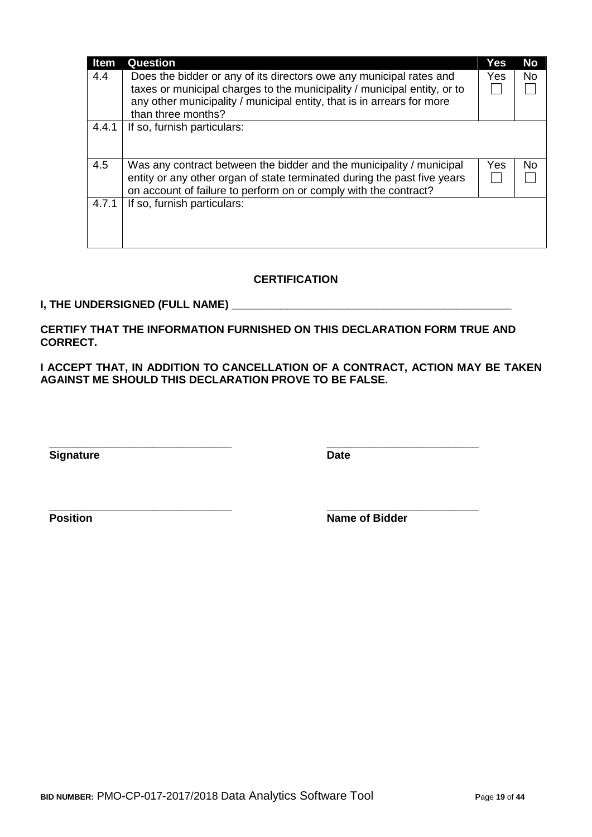| <b>Item</b> | <b>Question</b>                                                                                                                                                                                                           | Yes | <b>No</b> |
|-------------|---------------------------------------------------------------------------------------------------------------------------------------------------------------------------------------------------------------------------|-----|-----------|
| 4.4         | Does the bidder or any of its directors owe any municipal rates and<br>taxes or municipal charges to the municipality / municipal entity, or to<br>any other municipality / municipal entity, that is in arrears for more | Yes | <b>No</b> |
|             | than three months?                                                                                                                                                                                                        |     |           |
| 4.4.1       | If so, furnish particulars:                                                                                                                                                                                               |     |           |
| 4.5         | Was any contract between the bidder and the municipality / municipal<br>entity or any other organ of state terminated during the past five years<br>on account of failure to perform on or comply with the contract?      | Yes | No.       |
| 4.7.1       | If so, furnish particulars:                                                                                                                                                                                               |     |           |

# **CERTIFICATION**

#### **I, THE UNDERSIGNED (FULL NAME) \_\_\_\_\_\_\_\_\_\_\_\_\_\_\_\_\_\_\_\_\_\_\_\_\_\_\_\_\_\_\_\_\_\_\_\_\_\_\_\_\_\_\_\_\_\_**

**CERTIFY THAT THE INFORMATION FURNISHED ON THIS DECLARATION FORM TRUE AND CORRECT.**

**\_\_\_\_\_\_\_\_\_\_\_\_\_\_\_\_\_\_\_\_\_\_\_\_\_\_\_\_\_\_ \_\_\_\_\_\_\_\_\_\_\_\_\_\_\_\_\_\_\_\_\_\_\_\_\_**

**\_\_\_\_\_\_\_\_\_\_\_\_\_\_\_\_\_\_\_\_\_\_\_\_\_\_\_\_\_\_ \_\_\_\_\_\_\_\_\_\_\_\_\_\_\_\_\_\_\_\_\_\_\_\_\_**

**I ACCEPT THAT, IN ADDITION TO CANCELLATION OF A CONTRACT, ACTION MAY BE TAKEN AGAINST ME SHOULD THIS DECLARATION PROVE TO BE FALSE.**

**Signature Date** 

**Position Name of Bidder**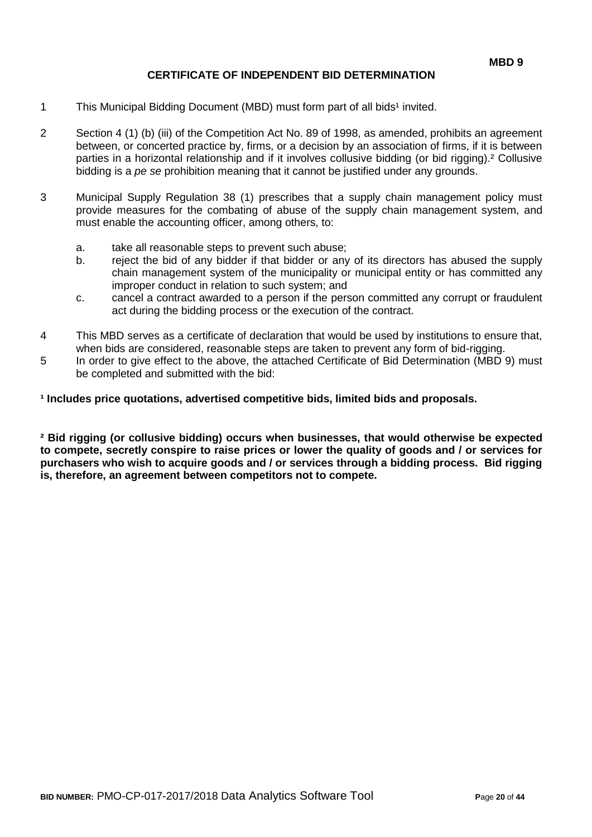# **CERTIFICATE OF INDEPENDENT BID DETERMINATION**

- 1 This Municipal Bidding Document (MBD) must form part of all bids<sup>1</sup> invited.
- 2 Section 4 (1) (b) (iii) of the Competition Act No. 89 of 1998, as amended, prohibits an agreement between, or concerted practice by, firms, or a decision by an association of firms, if it is between parties in a horizontal relationship and if it involves collusive bidding (or bid rigging).² Collusive bidding is a *pe se* prohibition meaning that it cannot be justified under any grounds.
- 3 Municipal Supply Regulation 38 (1) prescribes that a supply chain management policy must provide measures for the combating of abuse of the supply chain management system, and must enable the accounting officer, among others, to:
	- a. take all reasonable steps to prevent such abuse;
	- b. reject the bid of any bidder if that bidder or any of its directors has abused the supply chain management system of the municipality or municipal entity or has committed any improper conduct in relation to such system; and
	- c. cancel a contract awarded to a person if the person committed any corrupt or fraudulent act during the bidding process or the execution of the contract.
- 4 This MBD serves as a certificate of declaration that would be used by institutions to ensure that, when bids are considered, reasonable steps are taken to prevent any form of bid-rigging.
- 5 In order to give effect to the above, the attached Certificate of Bid Determination (MBD 9) must be completed and submitted with the bid:

**¹ Includes price quotations, advertised competitive bids, limited bids and proposals.**

**² Bid rigging (or collusive bidding) occurs when businesses, that would otherwise be expected to compete, secretly conspire to raise prices or lower the quality of goods and / or services for purchasers who wish to acquire goods and / or services through a bidding process. Bid rigging is, therefore, an agreement between competitors not to compete.**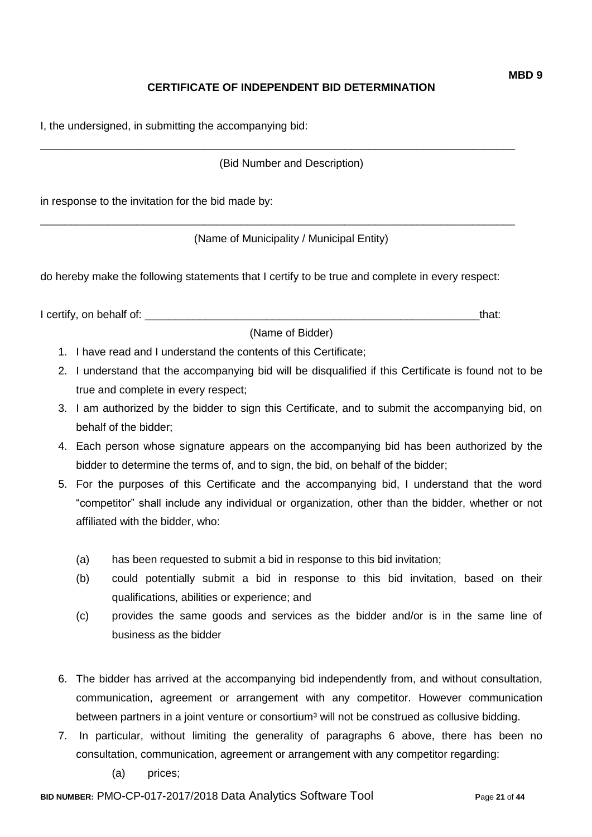# **CERTIFICATE OF INDEPENDENT BID DETERMINATION**

I, the undersigned, in submitting the accompanying bid:

(Bid Number and Description)

\_\_\_\_\_\_\_\_\_\_\_\_\_\_\_\_\_\_\_\_\_\_\_\_\_\_\_\_\_\_\_\_\_\_\_\_\_\_\_\_\_\_\_\_\_\_\_\_\_\_\_\_\_\_\_\_\_\_\_\_\_\_\_\_\_\_\_\_\_\_\_\_\_\_\_\_\_\_

\_\_\_\_\_\_\_\_\_\_\_\_\_\_\_\_\_\_\_\_\_\_\_\_\_\_\_\_\_\_\_\_\_\_\_\_\_\_\_\_\_\_\_\_\_\_\_\_\_\_\_\_\_\_\_\_\_\_\_\_\_\_\_\_\_\_\_\_\_\_\_\_\_\_\_\_\_\_

in response to the invitation for the bid made by:

(Name of Municipality / Municipal Entity)

do hereby make the following statements that I certify to be true and complete in every respect:

I certify, on behalf of: the state of the state of the state of the state of the state of the state of the state of the state of the state of the state of the state of the state of the state of the state of the state of th

(Name of Bidder)

- 1. I have read and I understand the contents of this Certificate;
- 2. I understand that the accompanying bid will be disqualified if this Certificate is found not to be true and complete in every respect;
- 3. I am authorized by the bidder to sign this Certificate, and to submit the accompanying bid, on behalf of the bidder;
- 4. Each person whose signature appears on the accompanying bid has been authorized by the bidder to determine the terms of, and to sign, the bid, on behalf of the bidder;
- 5. For the purposes of this Certificate and the accompanying bid, I understand that the word "competitor" shall include any individual or organization, other than the bidder, whether or not affiliated with the bidder, who:
	- (a) has been requested to submit a bid in response to this bid invitation;
	- (b) could potentially submit a bid in response to this bid invitation, based on their qualifications, abilities or experience; and
	- (c) provides the same goods and services as the bidder and/or is in the same line of business as the bidder
- 6. The bidder has arrived at the accompanying bid independently from, and without consultation, communication, agreement or arrangement with any competitor. However communication between partners in a joint venture or consortium<sup>3</sup> will not be construed as collusive bidding.
- 7. In particular, without limiting the generality of paragraphs 6 above, there has been no consultation, communication, agreement or arrangement with any competitor regarding:
	- (a) prices;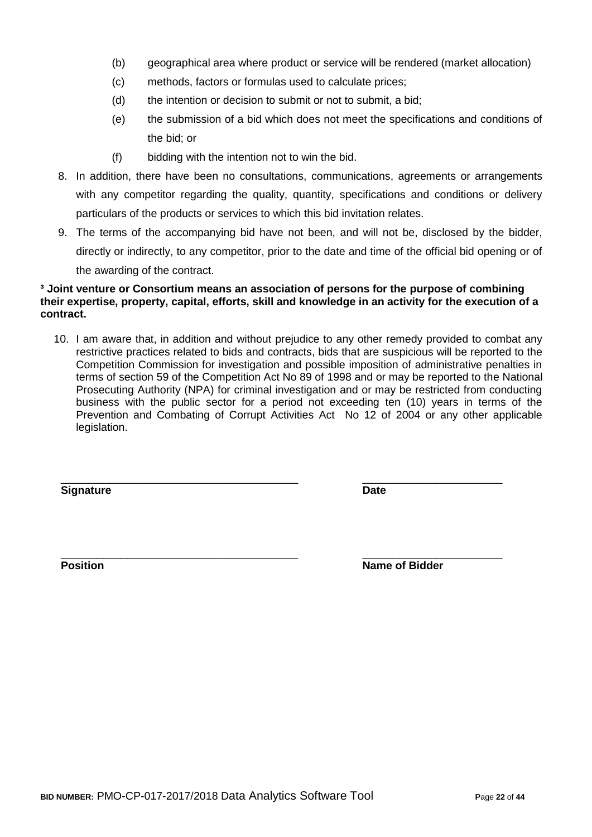- (b) geographical area where product or service will be rendered (market allocation)
- (c) methods, factors or formulas used to calculate prices;
- (d) the intention or decision to submit or not to submit, a bid;
- (e) the submission of a bid which does not meet the specifications and conditions of the bid; or
- (f) bidding with the intention not to win the bid.
- 8. In addition, there have been no consultations, communications, agreements or arrangements with any competitor regarding the quality, quantity, specifications and conditions or delivery particulars of the products or services to which this bid invitation relates.
- 9. The terms of the accompanying bid have not been, and will not be, disclosed by the bidder, directly or indirectly, to any competitor, prior to the date and time of the official bid opening or of the awarding of the contract.

#### **³ Joint venture or Consortium means an association of persons for the purpose of combining their expertise, property, capital, efforts, skill and knowledge in an activity for the execution of a contract.**

10. I am aware that, in addition and without prejudice to any other remedy provided to combat any restrictive practices related to bids and contracts, bids that are suspicious will be reported to the Competition Commission for investigation and possible imposition of administrative penalties in terms of section 59 of the Competition Act No 89 of 1998 and or may be reported to the National Prosecuting Authority (NPA) for criminal investigation and or may be restricted from conducting business with the public sector for a period not exceeding ten (10) years in terms of the Prevention and Combating of Corrupt Activities Act No 12 of 2004 or any other applicable legislation.

\_\_\_\_\_\_\_\_\_\_\_\_\_\_\_\_\_\_\_\_\_\_\_\_\_\_\_\_\_\_\_\_\_\_\_\_\_\_\_ \_\_\_\_\_\_\_\_\_\_\_\_\_\_\_\_\_\_\_\_\_\_\_

**Signature Date**

\_\_\_\_\_\_\_\_\_\_\_\_\_\_\_\_\_\_\_\_\_\_\_\_\_\_\_\_\_\_\_\_\_\_\_\_\_\_\_ \_\_\_\_\_\_\_\_\_\_\_\_\_\_\_\_\_\_\_\_\_\_\_ **Position Position Name of Bidder**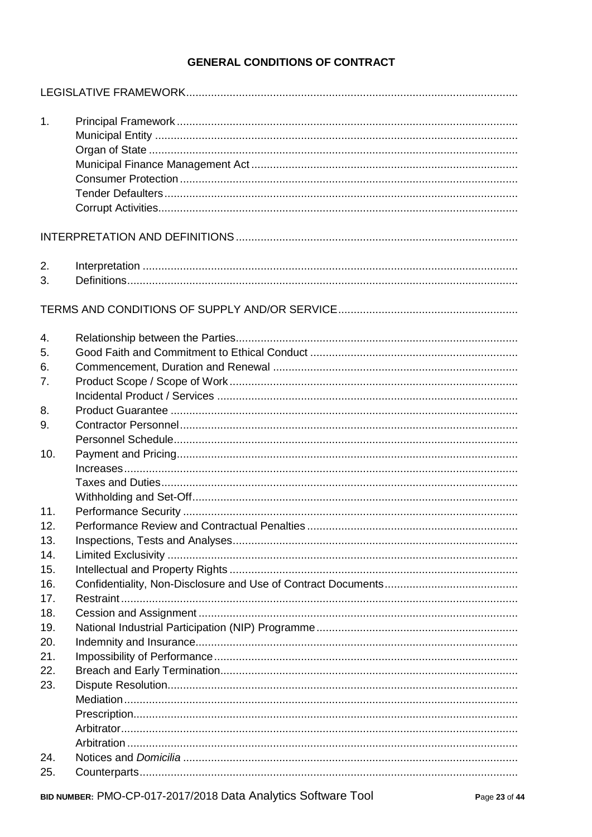# **GENERAL CONDITIONS OF CONTRACT**

| 1.  |  |
|-----|--|
|     |  |
|     |  |
|     |  |
|     |  |
| 2.  |  |
| 3.  |  |
|     |  |
| 4.  |  |
| 5.  |  |
| 6.  |  |
| 7.  |  |
|     |  |
| 8.  |  |
| 9.  |  |
|     |  |
| 10. |  |
|     |  |
|     |  |
| 11. |  |
| 12. |  |
| 13. |  |
| 14. |  |
| 15. |  |
| 16. |  |
| 17. |  |
| 18. |  |
| 19. |  |
| 20. |  |
| 21. |  |
| 22. |  |
| 23. |  |
|     |  |
|     |  |
|     |  |
|     |  |
| 24. |  |
| 25. |  |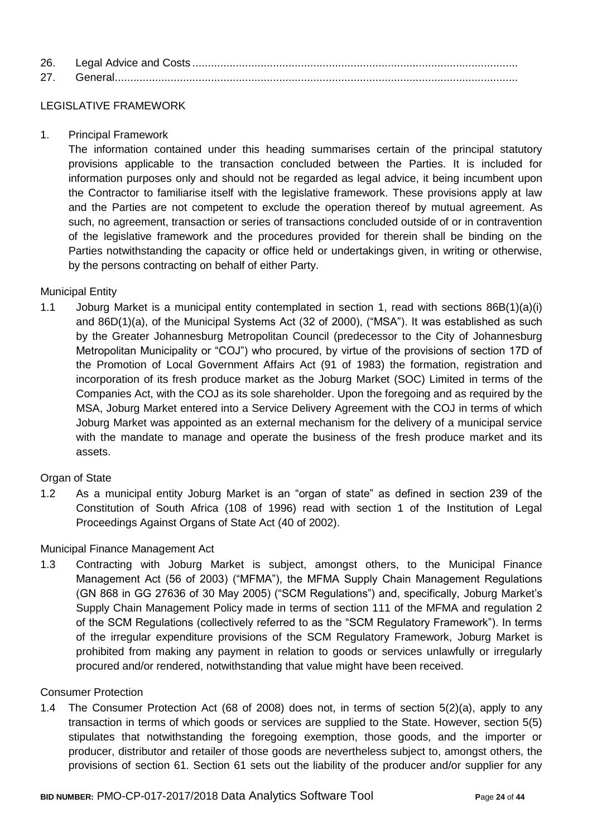| 26. |  |
|-----|--|
| 27  |  |

# LEGISLATIVE FRAMEWORK

1. Principal Framework

The information contained under this heading summarises certain of the principal statutory provisions applicable to the transaction concluded between the Parties. It is included for information purposes only and should not be regarded as legal advice, it being incumbent upon the Contractor to familiarise itself with the legislative framework. These provisions apply at law and the Parties are not competent to exclude the operation thereof by mutual agreement. As such, no agreement, transaction or series of transactions concluded outside of or in contravention of the legislative framework and the procedures provided for therein shall be binding on the Parties notwithstanding the capacity or office held or undertakings given, in writing or otherwise, by the persons contracting on behalf of either Party.

# Municipal Entity

1.1 Joburg Market is a municipal entity contemplated in section 1, read with sections 86B(1)(a)(i) and 86D(1)(a), of the Municipal Systems Act (32 of 2000), ("MSA"). It was established as such by the Greater Johannesburg Metropolitan Council (predecessor to the City of Johannesburg Metropolitan Municipality or "COJ") who procured, by virtue of the provisions of section 17D of the Promotion of Local Government Affairs Act (91 of 1983) the formation, registration and incorporation of its fresh produce market as the Joburg Market (SOC) Limited in terms of the Companies Act, with the COJ as its sole shareholder. Upon the foregoing and as required by the MSA, Joburg Market entered into a Service Delivery Agreement with the COJ in terms of which Joburg Market was appointed as an external mechanism for the delivery of a municipal service with the mandate to manage and operate the business of the fresh produce market and its assets.

#### Organ of State

1.2 As a municipal entity Joburg Market is an "organ of state" as defined in section 239 of the Constitution of South Africa (108 of 1996) read with section 1 of the Institution of Legal Proceedings Against Organs of State Act (40 of 2002).

#### Municipal Finance Management Act

1.3 Contracting with Joburg Market is subject, amongst others, to the Municipal Finance Management Act (56 of 2003) ("MFMA"), the MFMA Supply Chain Management Regulations (GN 868 in GG 27636 of 30 May 2005) ("SCM Regulations") and, specifically, Joburg Market's Supply Chain Management Policy made in terms of section 111 of the MFMA and regulation 2 of the SCM Regulations (collectively referred to as the "SCM Regulatory Framework"). In terms of the irregular expenditure provisions of the SCM Regulatory Framework, Joburg Market is prohibited from making any payment in relation to goods or services unlawfully or irregularly procured and/or rendered, notwithstanding that value might have been received.

#### Consumer Protection

1.4 The Consumer Protection Act (68 of 2008) does not, in terms of section 5(2)(a), apply to any transaction in terms of which goods or services are supplied to the State. However, section 5(5) stipulates that notwithstanding the foregoing exemption, those goods, and the importer or producer, distributor and retailer of those goods are nevertheless subject to, amongst others, the provisions of section 61. Section 61 sets out the liability of the producer and/or supplier for any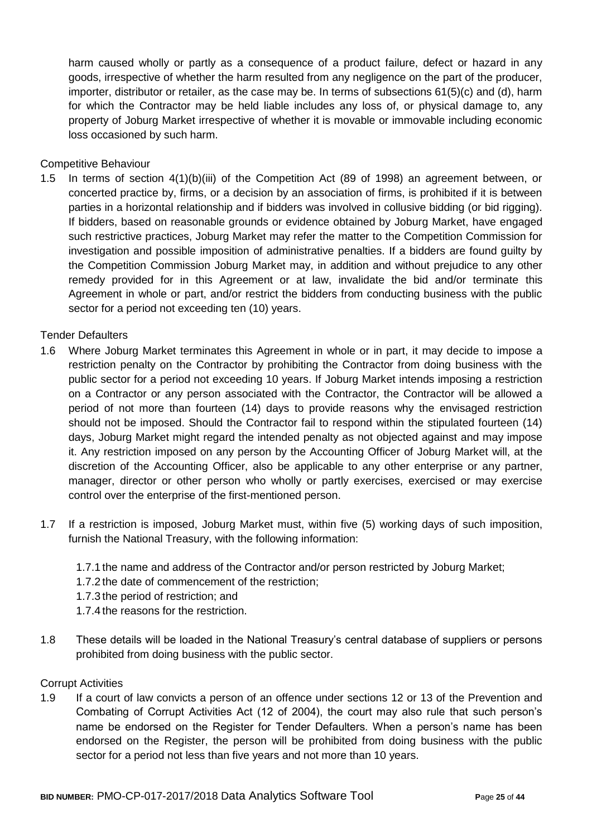harm caused wholly or partly as a consequence of a product failure, defect or hazard in any goods, irrespective of whether the harm resulted from any negligence on the part of the producer, importer, distributor or retailer, as the case may be. In terms of subsections 61(5)(c) and (d), harm for which the Contractor may be held liable includes any loss of, or physical damage to, any property of Joburg Market irrespective of whether it is movable or immovable including economic loss occasioned by such harm.

#### Competitive Behaviour

1.5 In terms of section 4(1)(b)(iii) of the Competition Act (89 of 1998) an agreement between, or concerted practice by, firms, or a decision by an association of firms, is prohibited if it is between parties in a horizontal relationship and if bidders was involved in collusive bidding (or bid rigging). If bidders, based on reasonable grounds or evidence obtained by Joburg Market, have engaged such restrictive practices, Joburg Market may refer the matter to the Competition Commission for investigation and possible imposition of administrative penalties. If a bidders are found guilty by the Competition Commission Joburg Market may, in addition and without prejudice to any other remedy provided for in this Agreement or at law, invalidate the bid and/or terminate this Agreement in whole or part, and/or restrict the bidders from conducting business with the public sector for a period not exceeding ten (10) years.

#### Tender Defaulters

- 1.6 Where Joburg Market terminates this Agreement in whole or in part, it may decide to impose a restriction penalty on the Contractor by prohibiting the Contractor from doing business with the public sector for a period not exceeding 10 years. If Joburg Market intends imposing a restriction on a Contractor or any person associated with the Contractor, the Contractor will be allowed a period of not more than fourteen (14) days to provide reasons why the envisaged restriction should not be imposed. Should the Contractor fail to respond within the stipulated fourteen (14) days, Joburg Market might regard the intended penalty as not objected against and may impose it. Any restriction imposed on any person by the Accounting Officer of Joburg Market will, at the discretion of the Accounting Officer, also be applicable to any other enterprise or any partner, manager, director or other person who wholly or partly exercises, exercised or may exercise control over the enterprise of the first-mentioned person.
- 1.7 If a restriction is imposed, Joburg Market must, within five (5) working days of such imposition, furnish the National Treasury, with the following information:
	- 1.7.1 the name and address of the Contractor and/or person restricted by Joburg Market;
	- 1.7.2 the date of commencement of the restriction;
	- 1.7.3 the period of restriction; and
	- 1.7.4 the reasons for the restriction.
- 1.8 These details will be loaded in the National Treasury's central database of suppliers or persons prohibited from doing business with the public sector.

#### Corrupt Activities

1.9 If a court of law convicts a person of an offence under sections 12 or 13 of the Prevention and Combating of Corrupt Activities Act (12 of 2004), the court may also rule that such person's name be endorsed on the Register for Tender Defaulters. When a person's name has been endorsed on the Register, the person will be prohibited from doing business with the public sector for a period not less than five years and not more than 10 years.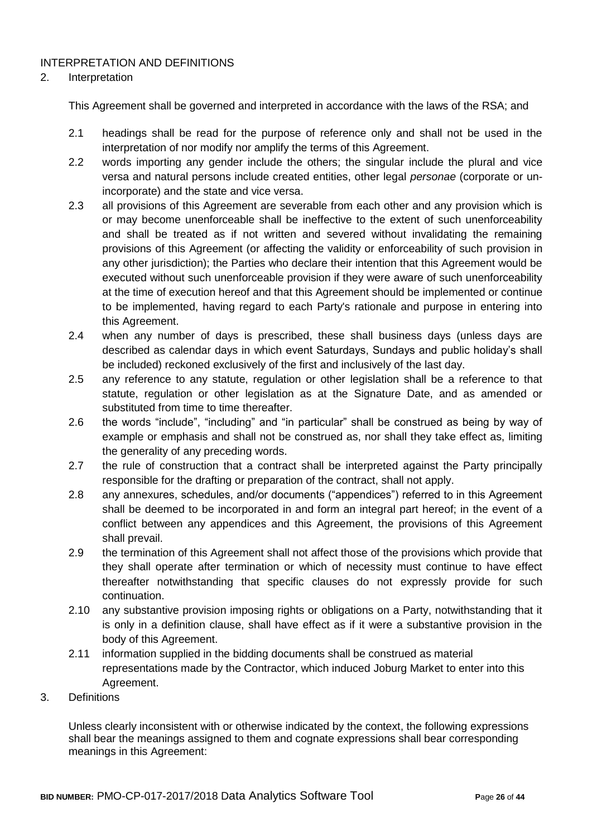# INTERPRETATION AND DEFINITIONS

#### 2. Interpretation

This Agreement shall be governed and interpreted in accordance with the laws of the RSA; and

- 2.1 headings shall be read for the purpose of reference only and shall not be used in the interpretation of nor modify nor amplify the terms of this Agreement.
- 2.2 words importing any gender include the others; the singular include the plural and vice versa and natural persons include created entities, other legal *personae* (corporate or unincorporate) and the state and vice versa.
- 2.3 all provisions of this Agreement are severable from each other and any provision which is or may become unenforceable shall be ineffective to the extent of such unenforceability and shall be treated as if not written and severed without invalidating the remaining provisions of this Agreement (or affecting the validity or enforceability of such provision in any other jurisdiction); the Parties who declare their intention that this Agreement would be executed without such unenforceable provision if they were aware of such unenforceability at the time of execution hereof and that this Agreement should be implemented or continue to be implemented, having regard to each Party's rationale and purpose in entering into this Agreement.
- 2.4 when any number of days is prescribed, these shall business days (unless days are described as calendar days in which event Saturdays, Sundays and public holiday's shall be included) reckoned exclusively of the first and inclusively of the last day.
- 2.5 any reference to any statute, regulation or other legislation shall be a reference to that statute, regulation or other legislation as at the Signature Date, and as amended or substituted from time to time thereafter.
- 2.6 the words "include", "including" and "in particular" shall be construed as being by way of example or emphasis and shall not be construed as, nor shall they take effect as, limiting the generality of any preceding words.
- 2.7 the rule of construction that a contract shall be interpreted against the Party principally responsible for the drafting or preparation of the contract, shall not apply.
- 2.8 any annexures, schedules, and/or documents ("appendices") referred to in this Agreement shall be deemed to be incorporated in and form an integral part hereof; in the event of a conflict between any appendices and this Agreement, the provisions of this Agreement shall prevail.
- 2.9 the termination of this Agreement shall not affect those of the provisions which provide that they shall operate after termination or which of necessity must continue to have effect thereafter notwithstanding that specific clauses do not expressly provide for such continuation.
- 2.10 any substantive provision imposing rights or obligations on a Party, notwithstanding that it is only in a definition clause, shall have effect as if it were a substantive provision in the body of this Agreement.
- 2.11 information supplied in the bidding documents shall be construed as material representations made by the Contractor, which induced Joburg Market to enter into this Agreement.
- 3. Definitions

Unless clearly inconsistent with or otherwise indicated by the context, the following expressions shall bear the meanings assigned to them and cognate expressions shall bear corresponding meanings in this Agreement: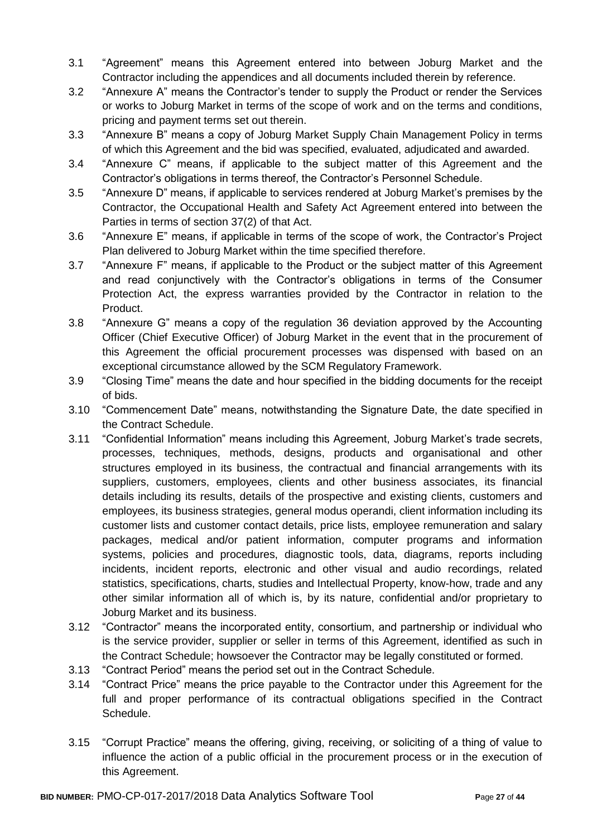- 3.1 "Agreement" means this Agreement entered into between Joburg Market and the Contractor including the appendices and all documents included therein by reference.
- 3.2 "Annexure A" means the Contractor's tender to supply the Product or render the Services or works to Joburg Market in terms of the scope of work and on the terms and conditions, pricing and payment terms set out therein.
- 3.3 "Annexure B" means a copy of Joburg Market Supply Chain Management Policy in terms of which this Agreement and the bid was specified, evaluated, adjudicated and awarded.
- 3.4 "Annexure C" means, if applicable to the subject matter of this Agreement and the Contractor's obligations in terms thereof, the Contractor's Personnel Schedule.
- 3.5 "Annexure D" means, if applicable to services rendered at Joburg Market's premises by the Contractor, the Occupational Health and Safety Act Agreement entered into between the Parties in terms of section 37(2) of that Act.
- 3.6 "Annexure E" means, if applicable in terms of the scope of work, the Contractor's Project Plan delivered to Joburg Market within the time specified therefore.
- 3.7 "Annexure F" means, if applicable to the Product or the subject matter of this Agreement and read conjunctively with the Contractor's obligations in terms of the Consumer Protection Act, the express warranties provided by the Contractor in relation to the Product.
- 3.8 "Annexure G" means a copy of the regulation 36 deviation approved by the Accounting Officer (Chief Executive Officer) of Joburg Market in the event that in the procurement of this Agreement the official procurement processes was dispensed with based on an exceptional circumstance allowed by the SCM Regulatory Framework.
- 3.9 "Closing Time" means the date and hour specified in the bidding documents for the receipt of bids.
- 3.10 "Commencement Date" means, notwithstanding the Signature Date, the date specified in the Contract Schedule.
- 3.11 "Confidential Information" means including this Agreement, Joburg Market's trade secrets, processes, techniques, methods, designs, products and organisational and other structures employed in its business, the contractual and financial arrangements with its suppliers, customers, employees, clients and other business associates, its financial details including its results, details of the prospective and existing clients, customers and employees, its business strategies, general modus operandi, client information including its customer lists and customer contact details, price lists, employee remuneration and salary packages, medical and/or patient information, computer programs and information systems, policies and procedures, diagnostic tools, data, diagrams, reports including incidents, incident reports, electronic and other visual and audio recordings, related statistics, specifications, charts, studies and Intellectual Property, know-how, trade and any other similar information all of which is, by its nature, confidential and/or proprietary to Joburg Market and its business.
- 3.12 "Contractor" means the incorporated entity, consortium, and partnership or individual who is the service provider, supplier or seller in terms of this Agreement, identified as such in the Contract Schedule; howsoever the Contractor may be legally constituted or formed.
- 3.13 "Contract Period" means the period set out in the Contract Schedule.
- 3.14 "Contract Price" means the price payable to the Contractor under this Agreement for the full and proper performance of its contractual obligations specified in the Contract Schedule.
- 3.15 "Corrupt Practice" means the offering, giving, receiving, or soliciting of a thing of value to influence the action of a public official in the procurement process or in the execution of this Agreement.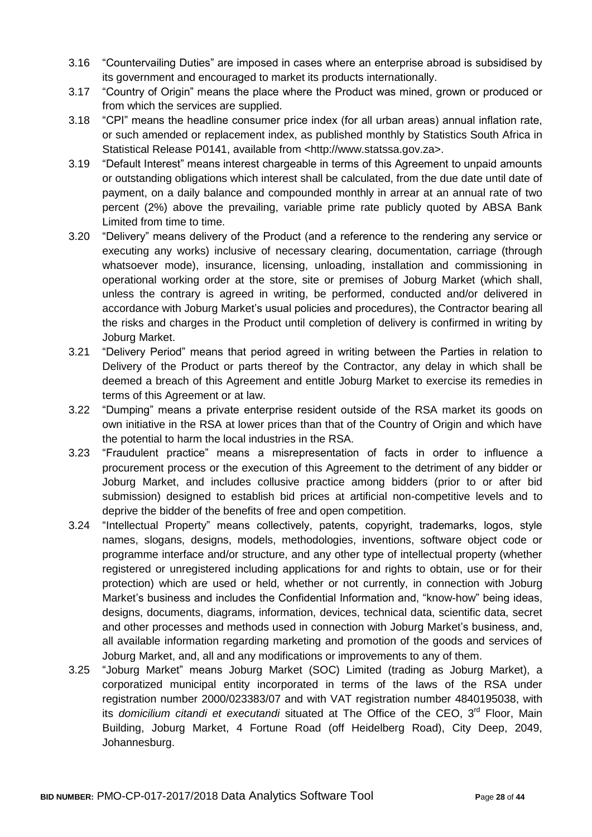- 3.16 "Countervailing Duties" are imposed in cases where an enterprise abroad is subsidised by its government and encouraged to market its products internationally.
- 3.17 "Country of Origin" means the place where the Product was mined, grown or produced or from which the services are supplied.
- 3.18 "CPI" means the headline consumer price index (for all urban areas) annual inflation rate, or such amended or replacement index, as published monthly by Statistics South Africa in Statistical Release P0141, available from <http://www.statssa.gov.za>.
- 3.19 "Default Interest" means interest chargeable in terms of this Agreement to unpaid amounts or outstanding obligations which interest shall be calculated, from the due date until date of payment, on a daily balance and compounded monthly in arrear at an annual rate of two percent (2%) above the prevailing, variable prime rate publicly quoted by ABSA Bank Limited from time to time.
- 3.20 "Delivery" means delivery of the Product (and a reference to the rendering any service or executing any works) inclusive of necessary clearing, documentation, carriage (through whatsoever mode), insurance, licensing, unloading, installation and commissioning in operational working order at the store, site or premises of Joburg Market (which shall, unless the contrary is agreed in writing, be performed, conducted and/or delivered in accordance with Joburg Market's usual policies and procedures), the Contractor bearing all the risks and charges in the Product until completion of delivery is confirmed in writing by Joburg Market.
- 3.21 "Delivery Period" means that period agreed in writing between the Parties in relation to Delivery of the Product or parts thereof by the Contractor, any delay in which shall be deemed a breach of this Agreement and entitle Joburg Market to exercise its remedies in terms of this Agreement or at law.
- 3.22 "Dumping" means a private enterprise resident outside of the RSA market its goods on own initiative in the RSA at lower prices than that of the Country of Origin and which have the potential to harm the local industries in the RSA.
- 3.23 "Fraudulent practice" means a misrepresentation of facts in order to influence a procurement process or the execution of this Agreement to the detriment of any bidder or Joburg Market, and includes collusive practice among bidders (prior to or after bid submission) designed to establish bid prices at artificial non-competitive levels and to deprive the bidder of the benefits of free and open competition.
- 3.24 "Intellectual Property" means collectively, patents, copyright, trademarks, logos, style names, slogans, designs, models, methodologies, inventions, software object code or programme interface and/or structure, and any other type of intellectual property (whether registered or unregistered including applications for and rights to obtain, use or for their protection) which are used or held, whether or not currently, in connection with Joburg Market's business and includes the Confidential Information and, "know-how" being ideas, designs, documents, diagrams, information, devices, technical data, scientific data, secret and other processes and methods used in connection with Joburg Market's business, and, all available information regarding marketing and promotion of the goods and services of Joburg Market, and, all and any modifications or improvements to any of them.
- 3.25 "Joburg Market" means Joburg Market (SOC) Limited (trading as Joburg Market), a corporatized municipal entity incorporated in terms of the laws of the RSA under registration number 2000/023383/07 and with VAT registration number 4840195038, with its *domicilium citandi et executandi* situated at The Office of the CEO, 3<sup>rd</sup> Floor, Main Building, Joburg Market, 4 Fortune Road (off Heidelberg Road), City Deep, 2049, Johannesburg.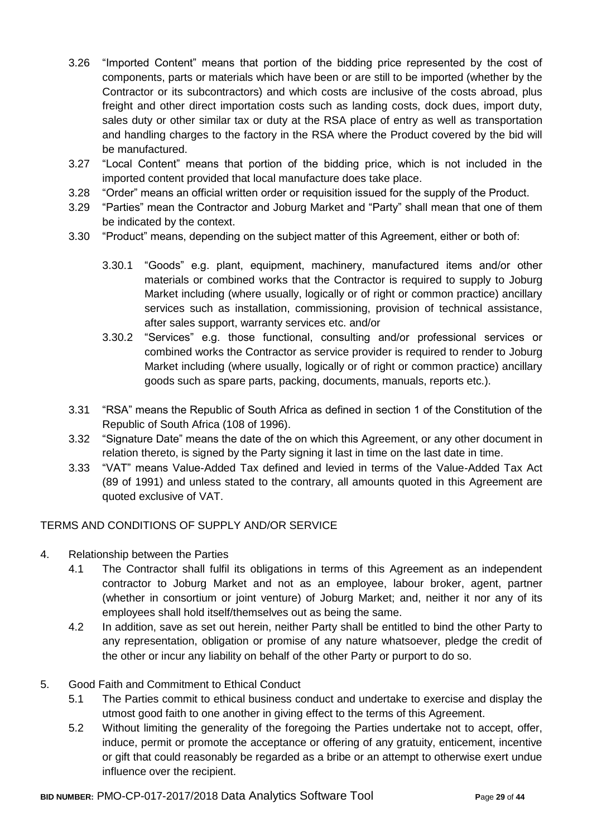- 3.26 "Imported Content" means that portion of the bidding price represented by the cost of components, parts or materials which have been or are still to be imported (whether by the Contractor or its subcontractors) and which costs are inclusive of the costs abroad, plus freight and other direct importation costs such as landing costs, dock dues, import duty, sales duty or other similar tax or duty at the RSA place of entry as well as transportation and handling charges to the factory in the RSA where the Product covered by the bid will be manufactured.
- 3.27 "Local Content" means that portion of the bidding price, which is not included in the imported content provided that local manufacture does take place.
- 3.28 "Order" means an official written order or requisition issued for the supply of the Product.
- 3.29 "Parties" mean the Contractor and Joburg Market and "Party" shall mean that one of them be indicated by the context.
- 3.30 "Product" means, depending on the subject matter of this Agreement, either or both of:
	- 3.30.1 "Goods" e.g. plant, equipment, machinery, manufactured items and/or other materials or combined works that the Contractor is required to supply to Joburg Market including (where usually, logically or of right or common practice) ancillary services such as installation, commissioning, provision of technical assistance, after sales support, warranty services etc. and/or
	- 3.30.2 "Services" e.g. those functional, consulting and/or professional services or combined works the Contractor as service provider is required to render to Joburg Market including (where usually, logically or of right or common practice) ancillary goods such as spare parts, packing, documents, manuals, reports etc.).
- 3.31 "RSA" means the Republic of South Africa as defined in section 1 of the Constitution of the Republic of South Africa (108 of 1996).
- 3.32 "Signature Date" means the date of the on which this Agreement, or any other document in relation thereto, is signed by the Party signing it last in time on the last date in time.
- 3.33 "VAT" means Value-Added Tax defined and levied in terms of the Value-Added Tax Act (89 of 1991) and unless stated to the contrary, all amounts quoted in this Agreement are quoted exclusive of VAT.

# TERMS AND CONDITIONS OF SUPPLY AND/OR SERVICE

- 4. Relationship between the Parties
	- 4.1 The Contractor shall fulfil its obligations in terms of this Agreement as an independent contractor to Joburg Market and not as an employee, labour broker, agent, partner (whether in consortium or joint venture) of Joburg Market; and, neither it nor any of its employees shall hold itself/themselves out as being the same.
	- 4.2 In addition, save as set out herein, neither Party shall be entitled to bind the other Party to any representation, obligation or promise of any nature whatsoever, pledge the credit of the other or incur any liability on behalf of the other Party or purport to do so.

#### 5. Good Faith and Commitment to Ethical Conduct

- 5.1 The Parties commit to ethical business conduct and undertake to exercise and display the utmost good faith to one another in giving effect to the terms of this Agreement.
- 5.2 Without limiting the generality of the foregoing the Parties undertake not to accept, offer, induce, permit or promote the acceptance or offering of any gratuity, enticement, incentive or gift that could reasonably be regarded as a bribe or an attempt to otherwise exert undue influence over the recipient.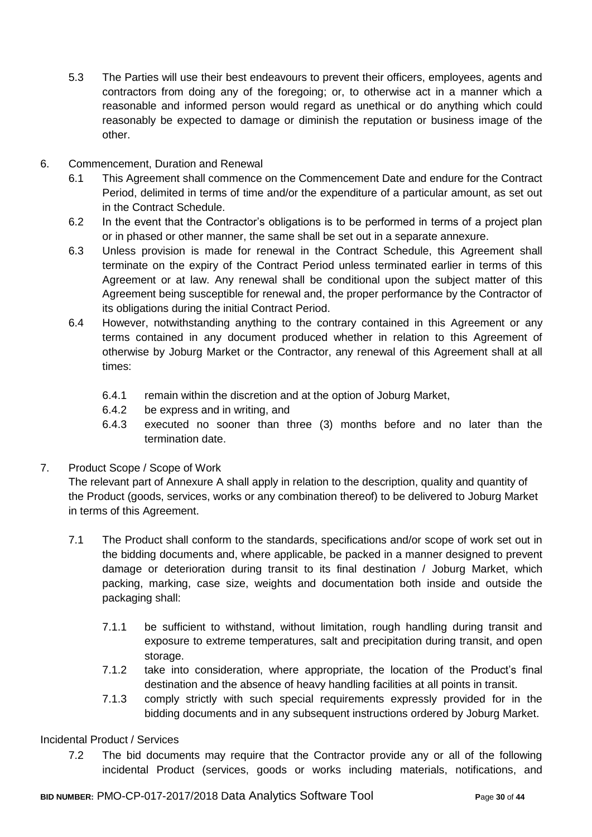- 5.3 The Parties will use their best endeavours to prevent their officers, employees, agents and contractors from doing any of the foregoing; or, to otherwise act in a manner which a reasonable and informed person would regard as unethical or do anything which could reasonably be expected to damage or diminish the reputation or business image of the other.
- 6. Commencement, Duration and Renewal
	- 6.1 This Agreement shall commence on the Commencement Date and endure for the Contract Period, delimited in terms of time and/or the expenditure of a particular amount, as set out in the Contract Schedule.
	- 6.2 In the event that the Contractor's obligations is to be performed in terms of a project plan or in phased or other manner, the same shall be set out in a separate annexure.
	- 6.3 Unless provision is made for renewal in the Contract Schedule, this Agreement shall terminate on the expiry of the Contract Period unless terminated earlier in terms of this Agreement or at law. Any renewal shall be conditional upon the subject matter of this Agreement being susceptible for renewal and, the proper performance by the Contractor of its obligations during the initial Contract Period.
	- 6.4 However, notwithstanding anything to the contrary contained in this Agreement or any terms contained in any document produced whether in relation to this Agreement of otherwise by Joburg Market or the Contractor, any renewal of this Agreement shall at all times:
		- 6.4.1 remain within the discretion and at the option of Joburg Market,
		- 6.4.2 be express and in writing, and
		- 6.4.3 executed no sooner than three (3) months before and no later than the termination date.
- 7. Product Scope / Scope of Work

The relevant part of Annexure A shall apply in relation to the description, quality and quantity of the Product (goods, services, works or any combination thereof) to be delivered to Joburg Market in terms of this Agreement.

- 7.1 The Product shall conform to the standards, specifications and/or scope of work set out in the bidding documents and, where applicable, be packed in a manner designed to prevent damage or deterioration during transit to its final destination / Joburg Market, which packing, marking, case size, weights and documentation both inside and outside the packaging shall:
	- 7.1.1 be sufficient to withstand, without limitation, rough handling during transit and exposure to extreme temperatures, salt and precipitation during transit, and open storage.
	- 7.1.2 take into consideration, where appropriate, the location of the Product's final destination and the absence of heavy handling facilities at all points in transit.
	- 7.1.3 comply strictly with such special requirements expressly provided for in the bidding documents and in any subsequent instructions ordered by Joburg Market.

#### Incidental Product / Services

7.2 The bid documents may require that the Contractor provide any or all of the following incidental Product (services, goods or works including materials, notifications, and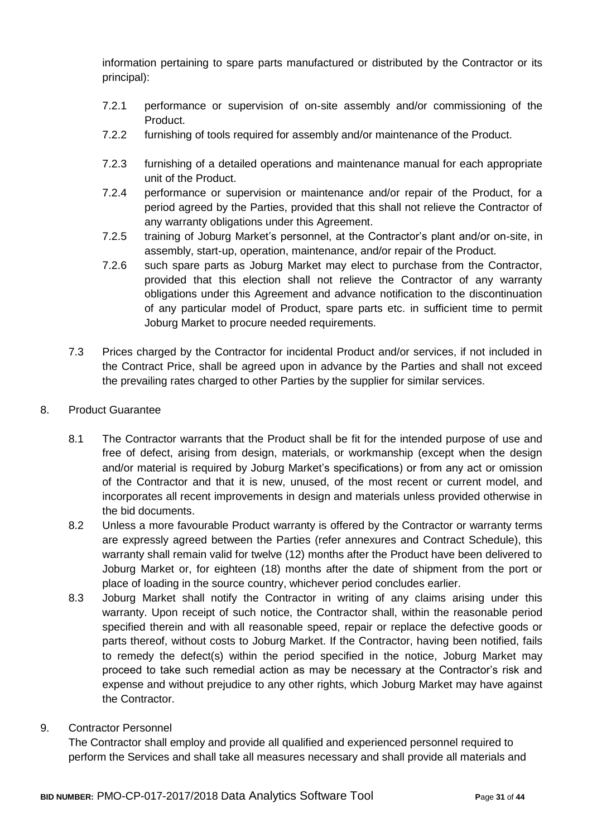information pertaining to spare parts manufactured or distributed by the Contractor or its principal):

- 7.2.1 performance or supervision of on-site assembly and/or commissioning of the Product.
- 7.2.2 furnishing of tools required for assembly and/or maintenance of the Product.
- 7.2.3 furnishing of a detailed operations and maintenance manual for each appropriate unit of the Product.
- 7.2.4 performance or supervision or maintenance and/or repair of the Product, for a period agreed by the Parties, provided that this shall not relieve the Contractor of any warranty obligations under this Agreement.
- 7.2.5 training of Joburg Market's personnel, at the Contractor's plant and/or on-site, in assembly, start-up, operation, maintenance, and/or repair of the Product.
- 7.2.6 such spare parts as Joburg Market may elect to purchase from the Contractor, provided that this election shall not relieve the Contractor of any warranty obligations under this Agreement and advance notification to the discontinuation of any particular model of Product, spare parts etc. in sufficient time to permit Joburg Market to procure needed requirements.
- 7.3 Prices charged by the Contractor for incidental Product and/or services, if not included in the Contract Price, shall be agreed upon in advance by the Parties and shall not exceed the prevailing rates charged to other Parties by the supplier for similar services.
- 8. Product Guarantee
	- 8.1 The Contractor warrants that the Product shall be fit for the intended purpose of use and free of defect, arising from design, materials, or workmanship (except when the design and/or material is required by Joburg Market's specifications) or from any act or omission of the Contractor and that it is new, unused, of the most recent or current model, and incorporates all recent improvements in design and materials unless provided otherwise in the bid documents.
	- 8.2 Unless a more favourable Product warranty is offered by the Contractor or warranty terms are expressly agreed between the Parties (refer annexures and Contract Schedule), this warranty shall remain valid for twelve (12) months after the Product have been delivered to Joburg Market or, for eighteen (18) months after the date of shipment from the port or place of loading in the source country, whichever period concludes earlier.
	- 8.3 Joburg Market shall notify the Contractor in writing of any claims arising under this warranty. Upon receipt of such notice, the Contractor shall, within the reasonable period specified therein and with all reasonable speed, repair or replace the defective goods or parts thereof, without costs to Joburg Market. If the Contractor, having been notified, fails to remedy the defect(s) within the period specified in the notice, Joburg Market may proceed to take such remedial action as may be necessary at the Contractor's risk and expense and without prejudice to any other rights, which Joburg Market may have against the Contractor.
- 9. Contractor Personnel

The Contractor shall employ and provide all qualified and experienced personnel required to perform the Services and shall take all measures necessary and shall provide all materials and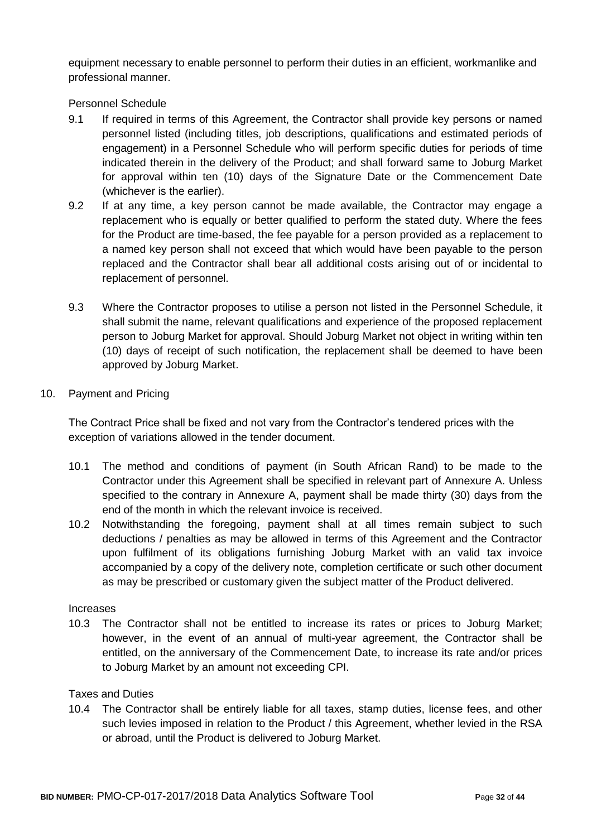equipment necessary to enable personnel to perform their duties in an efficient, workmanlike and professional manner.

Personnel Schedule

- 9.1 If required in terms of this Agreement, the Contractor shall provide key persons or named personnel listed (including titles, job descriptions, qualifications and estimated periods of engagement) in a Personnel Schedule who will perform specific duties for periods of time indicated therein in the delivery of the Product; and shall forward same to Joburg Market for approval within ten (10) days of the Signature Date or the Commencement Date (whichever is the earlier).
- 9.2 If at any time, a key person cannot be made available, the Contractor may engage a replacement who is equally or better qualified to perform the stated duty. Where the fees for the Product are time-based, the fee payable for a person provided as a replacement to a named key person shall not exceed that which would have been payable to the person replaced and the Contractor shall bear all additional costs arising out of or incidental to replacement of personnel.
- 9.3 Where the Contractor proposes to utilise a person not listed in the Personnel Schedule, it shall submit the name, relevant qualifications and experience of the proposed replacement person to Joburg Market for approval. Should Joburg Market not object in writing within ten (10) days of receipt of such notification, the replacement shall be deemed to have been approved by Joburg Market.
- 10. Payment and Pricing

The Contract Price shall be fixed and not vary from the Contractor's tendered prices with the exception of variations allowed in the tender document.

- 10.1 The method and conditions of payment (in South African Rand) to be made to the Contractor under this Agreement shall be specified in relevant part of Annexure A. Unless specified to the contrary in Annexure A, payment shall be made thirty (30) days from the end of the month in which the relevant invoice is received.
- 10.2 Notwithstanding the foregoing, payment shall at all times remain subject to such deductions / penalties as may be allowed in terms of this Agreement and the Contractor upon fulfilment of its obligations furnishing Joburg Market with an valid tax invoice accompanied by a copy of the delivery note, completion certificate or such other document as may be prescribed or customary given the subject matter of the Product delivered.

#### Increases

10.3 The Contractor shall not be entitled to increase its rates or prices to Joburg Market; however, in the event of an annual of multi-year agreement, the Contractor shall be entitled, on the anniversary of the Commencement Date, to increase its rate and/or prices to Joburg Market by an amount not exceeding CPI.

#### Taxes and Duties

10.4 The Contractor shall be entirely liable for all taxes, stamp duties, license fees, and other such levies imposed in relation to the Product / this Agreement, whether levied in the RSA or abroad, until the Product is delivered to Joburg Market.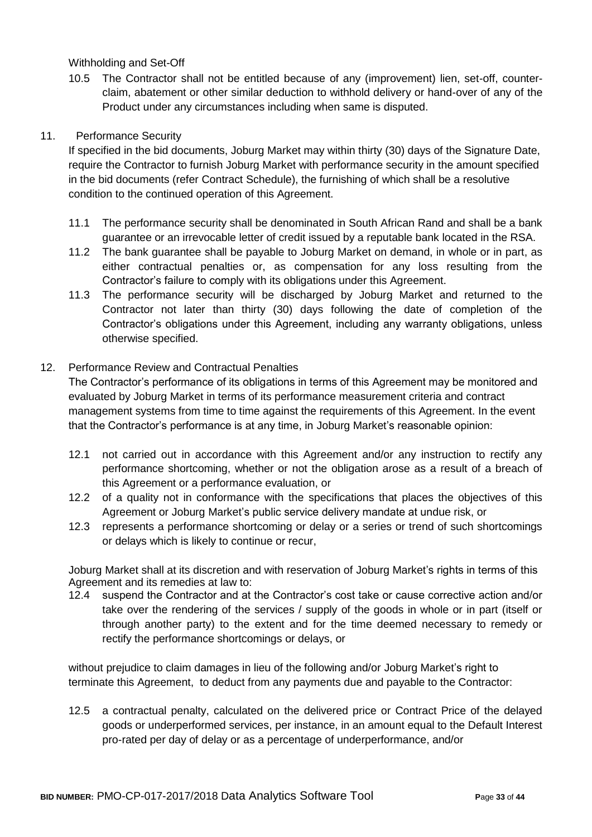Withholding and Set-Off

10.5 The Contractor shall not be entitled because of any (improvement) lien, set-off, counterclaim, abatement or other similar deduction to withhold delivery or hand-over of any of the Product under any circumstances including when same is disputed.

# 11. Performance Security

If specified in the bid documents, Joburg Market may within thirty (30) days of the Signature Date, require the Contractor to furnish Joburg Market with performance security in the amount specified in the bid documents (refer Contract Schedule), the furnishing of which shall be a resolutive condition to the continued operation of this Agreement.

- 11.1 The performance security shall be denominated in South African Rand and shall be a bank guarantee or an irrevocable letter of credit issued by a reputable bank located in the RSA.
- 11.2 The bank guarantee shall be payable to Joburg Market on demand, in whole or in part, as either contractual penalties or, as compensation for any loss resulting from the Contractor's failure to comply with its obligations under this Agreement.
- 11.3 The performance security will be discharged by Joburg Market and returned to the Contractor not later than thirty (30) days following the date of completion of the Contractor's obligations under this Agreement, including any warranty obligations, unless otherwise specified.

# 12. Performance Review and Contractual Penalties

The Contractor's performance of its obligations in terms of this Agreement may be monitored and evaluated by Joburg Market in terms of its performance measurement criteria and contract management systems from time to time against the requirements of this Agreement. In the event that the Contractor's performance is at any time, in Joburg Market's reasonable opinion:

- 12.1 not carried out in accordance with this Agreement and/or any instruction to rectify any performance shortcoming, whether or not the obligation arose as a result of a breach of this Agreement or a performance evaluation, or
- 12.2 of a quality not in conformance with the specifications that places the objectives of this Agreement or Joburg Market's public service delivery mandate at undue risk, or
- 12.3 represents a performance shortcoming or delay or a series or trend of such shortcomings or delays which is likely to continue or recur,

Joburg Market shall at its discretion and with reservation of Joburg Market's rights in terms of this Agreement and its remedies at law to:

12.4 suspend the Contractor and at the Contractor's cost take or cause corrective action and/or take over the rendering of the services / supply of the goods in whole or in part (itself or through another party) to the extent and for the time deemed necessary to remedy or rectify the performance shortcomings or delays, or

without prejudice to claim damages in lieu of the following and/or Joburg Market's right to terminate this Agreement, to deduct from any payments due and payable to the Contractor:

12.5 a contractual penalty, calculated on the delivered price or Contract Price of the delayed goods or underperformed services, per instance, in an amount equal to the Default Interest pro-rated per day of delay or as a percentage of underperformance, and/or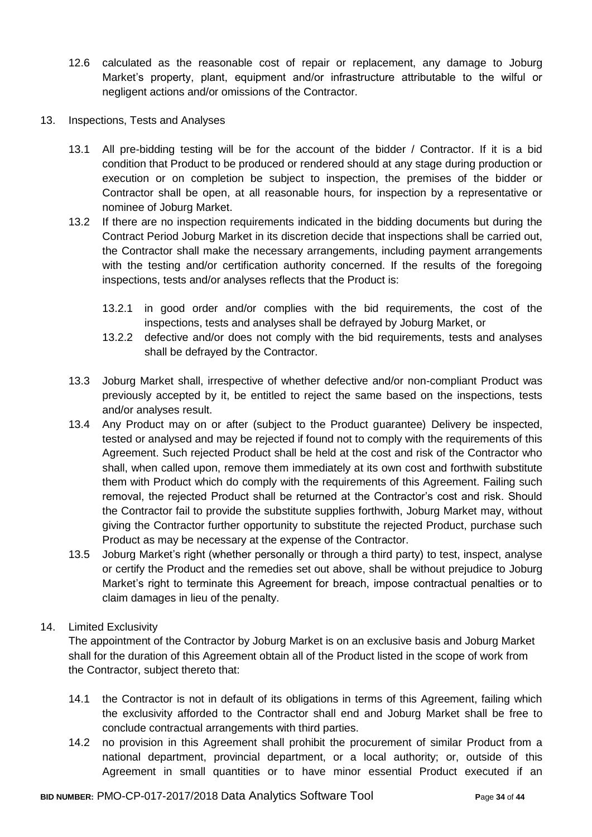- 12.6 calculated as the reasonable cost of repair or replacement, any damage to Joburg Market's property, plant, equipment and/or infrastructure attributable to the wilful or negligent actions and/or omissions of the Contractor.
- 13. Inspections, Tests and Analyses
	- 13.1 All pre-bidding testing will be for the account of the bidder / Contractor. If it is a bid condition that Product to be produced or rendered should at any stage during production or execution or on completion be subject to inspection, the premises of the bidder or Contractor shall be open, at all reasonable hours, for inspection by a representative or nominee of Joburg Market.
	- 13.2 If there are no inspection requirements indicated in the bidding documents but during the Contract Period Joburg Market in its discretion decide that inspections shall be carried out, the Contractor shall make the necessary arrangements, including payment arrangements with the testing and/or certification authority concerned. If the results of the foregoing inspections, tests and/or analyses reflects that the Product is:
		- 13.2.1 in good order and/or complies with the bid requirements, the cost of the inspections, tests and analyses shall be defrayed by Joburg Market, or
		- 13.2.2 defective and/or does not comply with the bid requirements, tests and analyses shall be defrayed by the Contractor.
	- 13.3 Joburg Market shall, irrespective of whether defective and/or non-compliant Product was previously accepted by it, be entitled to reject the same based on the inspections, tests and/or analyses result.
	- 13.4 Any Product may on or after (subject to the Product guarantee) Delivery be inspected, tested or analysed and may be rejected if found not to comply with the requirements of this Agreement. Such rejected Product shall be held at the cost and risk of the Contractor who shall, when called upon, remove them immediately at its own cost and forthwith substitute them with Product which do comply with the requirements of this Agreement. Failing such removal, the rejected Product shall be returned at the Contractor's cost and risk. Should the Contractor fail to provide the substitute supplies forthwith, Joburg Market may, without giving the Contractor further opportunity to substitute the rejected Product, purchase such Product as may be necessary at the expense of the Contractor.
	- 13.5 Joburg Market's right (whether personally or through a third party) to test, inspect, analyse or certify the Product and the remedies set out above, shall be without prejudice to Joburg Market's right to terminate this Agreement for breach, impose contractual penalties or to claim damages in lieu of the penalty.

# 14. Limited Exclusivity

The appointment of the Contractor by Joburg Market is on an exclusive basis and Joburg Market shall for the duration of this Agreement obtain all of the Product listed in the scope of work from the Contractor, subject thereto that:

- 14.1 the Contractor is not in default of its obligations in terms of this Agreement, failing which the exclusivity afforded to the Contractor shall end and Joburg Market shall be free to conclude contractual arrangements with third parties.
- 14.2 no provision in this Agreement shall prohibit the procurement of similar Product from a national department, provincial department, or a local authority; or, outside of this Agreement in small quantities or to have minor essential Product executed if an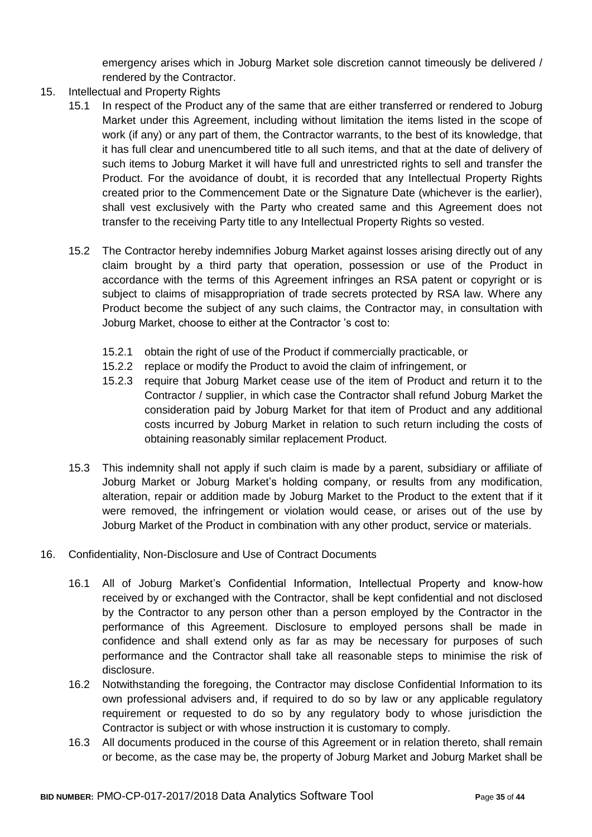emergency arises which in Joburg Market sole discretion cannot timeously be delivered / rendered by the Contractor.

- 15. Intellectual and Property Rights
	- 15.1 In respect of the Product any of the same that are either transferred or rendered to Joburg Market under this Agreement, including without limitation the items listed in the scope of work (if any) or any part of them, the Contractor warrants, to the best of its knowledge, that it has full clear and unencumbered title to all such items, and that at the date of delivery of such items to Joburg Market it will have full and unrestricted rights to sell and transfer the Product. For the avoidance of doubt, it is recorded that any Intellectual Property Rights created prior to the Commencement Date or the Signature Date (whichever is the earlier), shall vest exclusively with the Party who created same and this Agreement does not transfer to the receiving Party title to any Intellectual Property Rights so vested.
	- 15.2 The Contractor hereby indemnifies Joburg Market against losses arising directly out of any claim brought by a third party that operation, possession or use of the Product in accordance with the terms of this Agreement infringes an RSA patent or copyright or is subject to claims of misappropriation of trade secrets protected by RSA law. Where any Product become the subject of any such claims, the Contractor may, in consultation with Joburg Market, choose to either at the Contractor 's cost to:
		- 15.2.1 obtain the right of use of the Product if commercially practicable, or
		- 15.2.2 replace or modify the Product to avoid the claim of infringement, or
		- 15.2.3 require that Joburg Market cease use of the item of Product and return it to the Contractor / supplier, in which case the Contractor shall refund Joburg Market the consideration paid by Joburg Market for that item of Product and any additional costs incurred by Joburg Market in relation to such return including the costs of obtaining reasonably similar replacement Product.
	- 15.3 This indemnity shall not apply if such claim is made by a parent, subsidiary or affiliate of Joburg Market or Joburg Market's holding company, or results from any modification, alteration, repair or addition made by Joburg Market to the Product to the extent that if it were removed, the infringement or violation would cease, or arises out of the use by Joburg Market of the Product in combination with any other product, service or materials.
- 16. Confidentiality, Non-Disclosure and Use of Contract Documents
	- 16.1 All of Joburg Market's Confidential Information, Intellectual Property and know-how received by or exchanged with the Contractor, shall be kept confidential and not disclosed by the Contractor to any person other than a person employed by the Contractor in the performance of this Agreement. Disclosure to employed persons shall be made in confidence and shall extend only as far as may be necessary for purposes of such performance and the Contractor shall take all reasonable steps to minimise the risk of disclosure.
	- 16.2 Notwithstanding the foregoing, the Contractor may disclose Confidential Information to its own professional advisers and, if required to do so by law or any applicable regulatory requirement or requested to do so by any regulatory body to whose jurisdiction the Contractor is subject or with whose instruction it is customary to comply.
	- 16.3 All documents produced in the course of this Agreement or in relation thereto, shall remain or become, as the case may be, the property of Joburg Market and Joburg Market shall be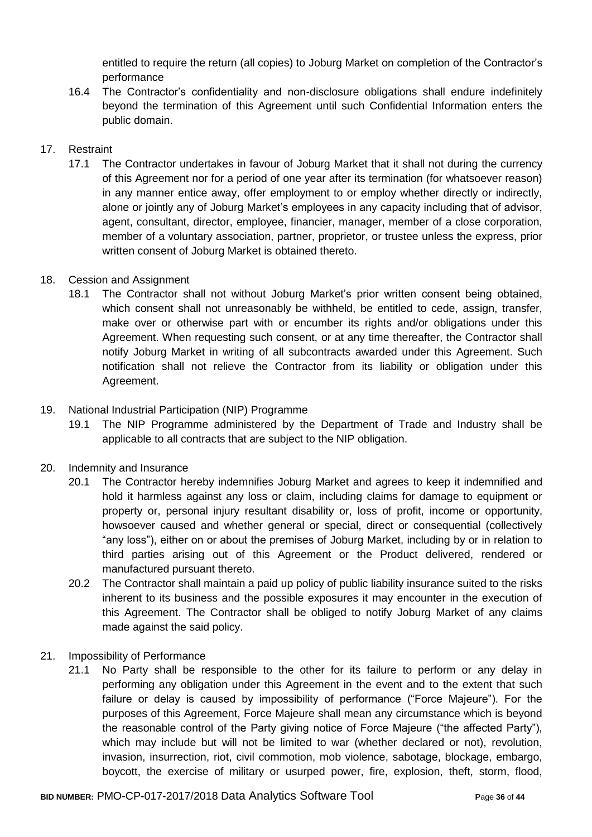entitled to require the return (all copies) to Joburg Market on completion of the Contractor's performance

16.4 The Contractor's confidentiality and non-disclosure obligations shall endure indefinitely beyond the termination of this Agreement until such Confidential Information enters the public domain.

# 17. Restraint

17.1 The Contractor undertakes in favour of Joburg Market that it shall not during the currency of this Agreement nor for a period of one year after its termination (for whatsoever reason) in any manner entice away, offer employment to or employ whether directly or indirectly, alone or jointly any of Joburg Market's employees in any capacity including that of advisor, agent, consultant, director, employee, financier, manager, member of a close corporation, member of a voluntary association, partner, proprietor, or trustee unless the express, prior written consent of Joburg Market is obtained thereto.

# 18. Cession and Assignment

18.1 The Contractor shall not without Joburg Market's prior written consent being obtained, which consent shall not unreasonably be withheld, be entitled to cede, assign, transfer, make over or otherwise part with or encumber its rights and/or obligations under this Agreement. When requesting such consent, or at any time thereafter, the Contractor shall notify Joburg Market in writing of all subcontracts awarded under this Agreement. Such notification shall not relieve the Contractor from its liability or obligation under this Agreement.

# 19. National Industrial Participation (NIP) Programme

19.1 The NIP Programme administered by the Department of Trade and Industry shall be applicable to all contracts that are subject to the NIP obligation.

# 20. Indemnity and Insurance

- 20.1 The Contractor hereby indemnifies Joburg Market and agrees to keep it indemnified and hold it harmless against any loss or claim, including claims for damage to equipment or property or, personal injury resultant disability or, loss of profit, income or opportunity, howsoever caused and whether general or special, direct or consequential (collectively "any loss"), either on or about the premises of Joburg Market, including by or in relation to third parties arising out of this Agreement or the Product delivered, rendered or manufactured pursuant thereto.
- 20.2 The Contractor shall maintain a paid up policy of public liability insurance suited to the risks inherent to its business and the possible exposures it may encounter in the execution of this Agreement. The Contractor shall be obliged to notify Joburg Market of any claims made against the said policy.
- 21. Impossibility of Performance
	- 21.1 No Party shall be responsible to the other for its failure to perform or any delay in performing any obligation under this Agreement in the event and to the extent that such failure or delay is caused by impossibility of performance ("Force Majeure"). For the purposes of this Agreement, Force Majeure shall mean any circumstance which is beyond the reasonable control of the Party giving notice of Force Majeure ("the affected Party"), which may include but will not be limited to war (whether declared or not), revolution, invasion, insurrection, riot, civil commotion, mob violence, sabotage, blockage, embargo, boycott, the exercise of military or usurped power, fire, explosion, theft, storm, flood,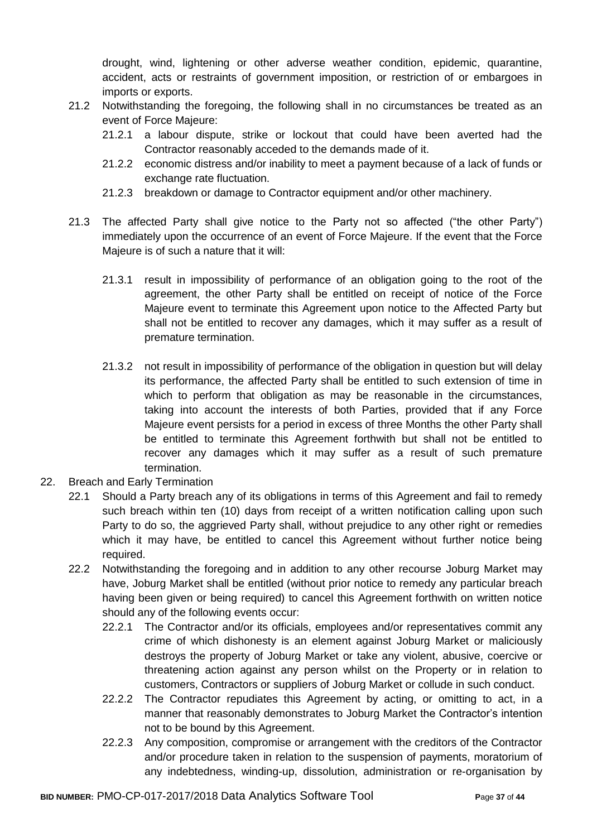drought, wind, lightening or other adverse weather condition, epidemic, quarantine, accident, acts or restraints of government imposition, or restriction of or embargoes in imports or exports.

- 21.2 Notwithstanding the foregoing, the following shall in no circumstances be treated as an event of Force Majeure:
	- 21.2.1 a labour dispute, strike or lockout that could have been averted had the Contractor reasonably acceded to the demands made of it.
	- 21.2.2 economic distress and/or inability to meet a payment because of a lack of funds or exchange rate fluctuation.
	- 21.2.3 breakdown or damage to Contractor equipment and/or other machinery.
- 21.3 The affected Party shall give notice to the Party not so affected ("the other Party") immediately upon the occurrence of an event of Force Majeure. If the event that the Force Majeure is of such a nature that it will:
	- 21.3.1 result in impossibility of performance of an obligation going to the root of the agreement, the other Party shall be entitled on receipt of notice of the Force Majeure event to terminate this Agreement upon notice to the Affected Party but shall not be entitled to recover any damages, which it may suffer as a result of premature termination.
	- 21.3.2 not result in impossibility of performance of the obligation in question but will delay its performance, the affected Party shall be entitled to such extension of time in which to perform that obligation as may be reasonable in the circumstances, taking into account the interests of both Parties, provided that if any Force Majeure event persists for a period in excess of three Months the other Party shall be entitled to terminate this Agreement forthwith but shall not be entitled to recover any damages which it may suffer as a result of such premature termination.
- 22. Breach and Early Termination
	- 22.1 Should a Party breach any of its obligations in terms of this Agreement and fail to remedy such breach within ten (10) days from receipt of a written notification calling upon such Party to do so, the aggrieved Party shall, without prejudice to any other right or remedies which it may have, be entitled to cancel this Agreement without further notice being required.
	- 22.2 Notwithstanding the foregoing and in addition to any other recourse Joburg Market may have, Joburg Market shall be entitled (without prior notice to remedy any particular breach having been given or being required) to cancel this Agreement forthwith on written notice should any of the following events occur:
		- 22.2.1 The Contractor and/or its officials, employees and/or representatives commit any crime of which dishonesty is an element against Joburg Market or maliciously destroys the property of Joburg Market or take any violent, abusive, coercive or threatening action against any person whilst on the Property or in relation to customers, Contractors or suppliers of Joburg Market or collude in such conduct.
		- 22.2.2 The Contractor repudiates this Agreement by acting, or omitting to act, in a manner that reasonably demonstrates to Joburg Market the Contractor's intention not to be bound by this Agreement.
		- 22.2.3 Any composition, compromise or arrangement with the creditors of the Contractor and/or procedure taken in relation to the suspension of payments, moratorium of any indebtedness, winding-up, dissolution, administration or re-organisation by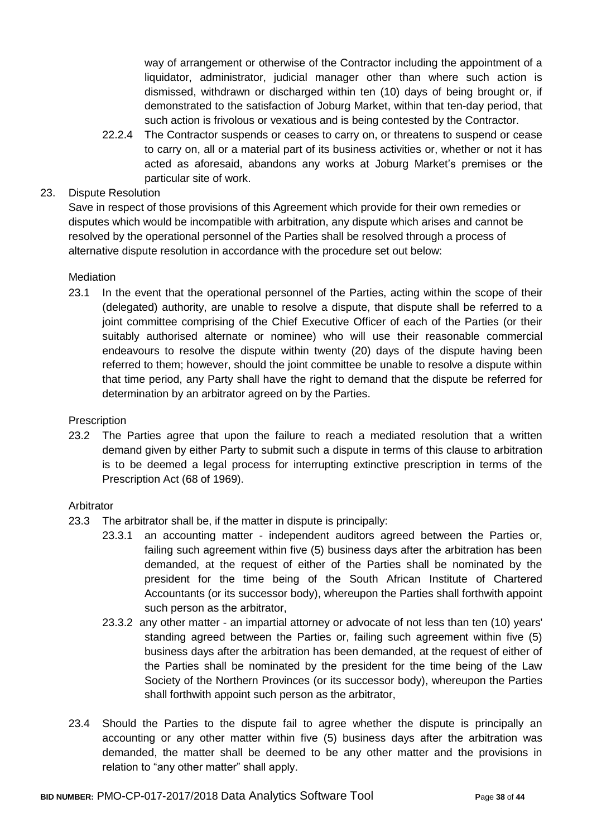way of arrangement or otherwise of the Contractor including the appointment of a liquidator, administrator, judicial manager other than where such action is dismissed, withdrawn or discharged within ten (10) days of being brought or, if demonstrated to the satisfaction of Joburg Market, within that ten-day period, that such action is frivolous or vexatious and is being contested by the Contractor.

22.2.4 The Contractor suspends or ceases to carry on, or threatens to suspend or cease to carry on, all or a material part of its business activities or, whether or not it has acted as aforesaid, abandons any works at Joburg Market's premises or the particular site of work.

# 23. Dispute Resolution

Save in respect of those provisions of this Agreement which provide for their own remedies or disputes which would be incompatible with arbitration, any dispute which arises and cannot be resolved by the operational personnel of the Parties shall be resolved through a process of alternative dispute resolution in accordance with the procedure set out below:

#### **Mediation**

23.1 In the event that the operational personnel of the Parties, acting within the scope of their (delegated) authority, are unable to resolve a dispute, that dispute shall be referred to a joint committee comprising of the Chief Executive Officer of each of the Parties (or their suitably authorised alternate or nominee) who will use their reasonable commercial endeavours to resolve the dispute within twenty (20) days of the dispute having been referred to them; however, should the joint committee be unable to resolve a dispute within that time period, any Party shall have the right to demand that the dispute be referred for determination by an arbitrator agreed on by the Parties.

#### **Prescription**

23.2 The Parties agree that upon the failure to reach a mediated resolution that a written demand given by either Party to submit such a dispute in terms of this clause to arbitration is to be deemed a legal process for interrupting extinctive prescription in terms of the Prescription Act (68 of 1969).

#### Arbitrator

- 23.3 The arbitrator shall be, if the matter in dispute is principally:
	- 23.3.1 an accounting matter independent auditors agreed between the Parties or, failing such agreement within five (5) business days after the arbitration has been demanded, at the request of either of the Parties shall be nominated by the president for the time being of the South African Institute of Chartered Accountants (or its successor body), whereupon the Parties shall forthwith appoint such person as the arbitrator,
	- 23.3.2 any other matter an impartial attorney or advocate of not less than ten (10) years' standing agreed between the Parties or, failing such agreement within five (5) business days after the arbitration has been demanded, at the request of either of the Parties shall be nominated by the president for the time being of the Law Society of the Northern Provinces (or its successor body), whereupon the Parties shall forthwith appoint such person as the arbitrator,
- 23.4 Should the Parties to the dispute fail to agree whether the dispute is principally an accounting or any other matter within five (5) business days after the arbitration was demanded, the matter shall be deemed to be any other matter and the provisions in relation to "any other matter" shall apply.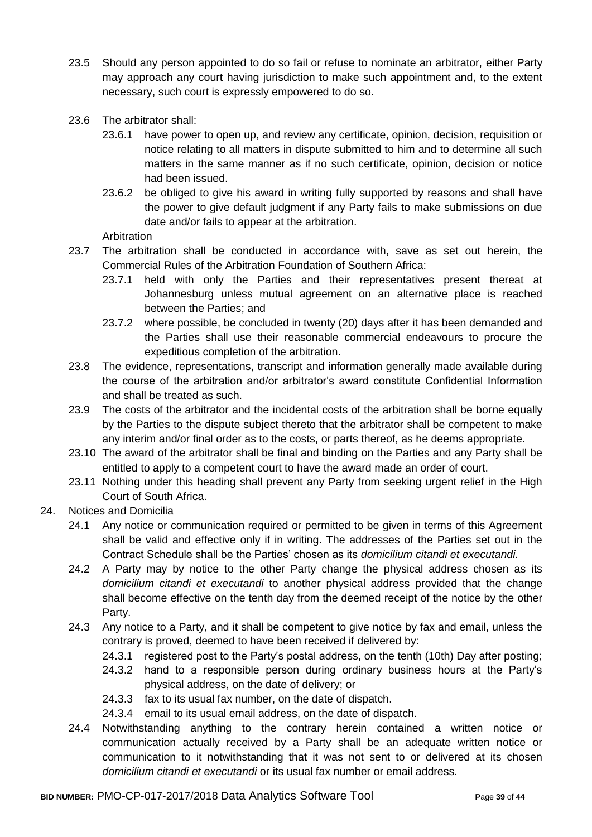- 23.5 Should any person appointed to do so fail or refuse to nominate an arbitrator, either Party may approach any court having jurisdiction to make such appointment and, to the extent necessary, such court is expressly empowered to do so.
- 23.6 The arbitrator shall:
	- 23.6.1 have power to open up, and review any certificate, opinion, decision, requisition or notice relating to all matters in dispute submitted to him and to determine all such matters in the same manner as if no such certificate, opinion, decision or notice had been issued.
	- 23.6.2 be obliged to give his award in writing fully supported by reasons and shall have the power to give default judgment if any Party fails to make submissions on due date and/or fails to appear at the arbitration.

Arbitration

- 23.7 The arbitration shall be conducted in accordance with, save as set out herein, the Commercial Rules of the Arbitration Foundation of Southern Africa:
	- 23.7.1 held with only the Parties and their representatives present thereat at Johannesburg unless mutual agreement on an alternative place is reached between the Parties; and
	- 23.7.2 where possible, be concluded in twenty (20) days after it has been demanded and the Parties shall use their reasonable commercial endeavours to procure the expeditious completion of the arbitration.
- 23.8 The evidence, representations, transcript and information generally made available during the course of the arbitration and/or arbitrator's award constitute Confidential Information and shall be treated as such.
- 23.9 The costs of the arbitrator and the incidental costs of the arbitration shall be borne equally by the Parties to the dispute subject thereto that the arbitrator shall be competent to make any interim and/or final order as to the costs, or parts thereof, as he deems appropriate.
- 23.10 The award of the arbitrator shall be final and binding on the Parties and any Party shall be entitled to apply to a competent court to have the award made an order of court.
- 23.11 Nothing under this heading shall prevent any Party from seeking urgent relief in the High Court of South Africa.
- 24. Notices and Domicilia
	- 24.1 Any notice or communication required or permitted to be given in terms of this Agreement shall be valid and effective only if in writing. The addresses of the Parties set out in the Contract Schedule shall be the Parties' chosen as its *domicilium citandi et executandi.*
	- 24.2 A Party may by notice to the other Party change the physical address chosen as its *domicilium citandi et executandi* to another physical address provided that the change shall become effective on the tenth day from the deemed receipt of the notice by the other Party.
	- 24.3 Any notice to a Party, and it shall be competent to give notice by fax and email, unless the contrary is proved, deemed to have been received if delivered by:
		- 24.3.1 registered post to the Party's postal address, on the tenth (10th) Day after posting;
		- 24.3.2 hand to a responsible person during ordinary business hours at the Party's physical address, on the date of delivery; or
		- 24.3.3 fax to its usual fax number, on the date of dispatch.
		- 24.3.4 email to its usual email address, on the date of dispatch.
	- 24.4 Notwithstanding anything to the contrary herein contained a written notice or communication actually received by a Party shall be an adequate written notice or communication to it notwithstanding that it was not sent to or delivered at its chosen *domicilium citandi et executandi* or its usual fax number or email address.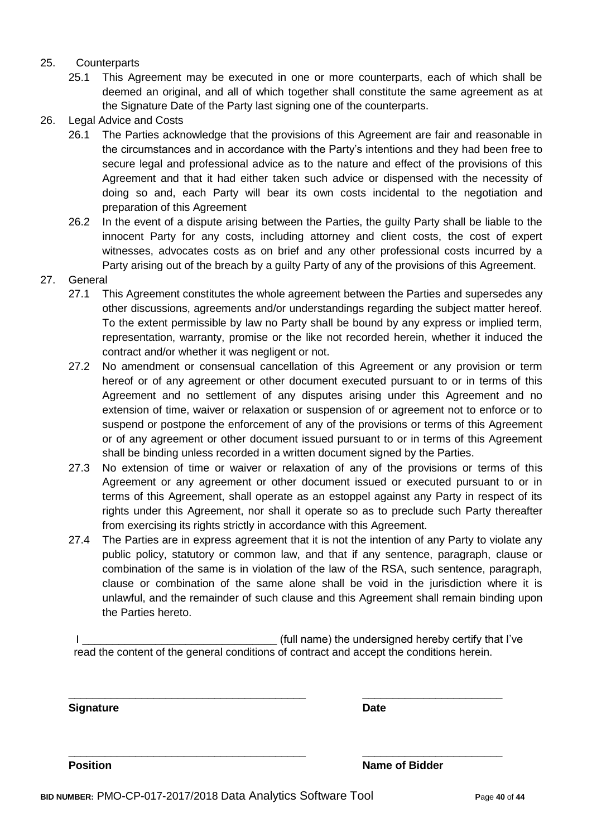#### 25. Counterparts

- 25.1 This Agreement may be executed in one or more counterparts, each of which shall be deemed an original, and all of which together shall constitute the same agreement as at the Signature Date of the Party last signing one of the counterparts.
- 26. Legal Advice and Costs
	- 26.1 The Parties acknowledge that the provisions of this Agreement are fair and reasonable in the circumstances and in accordance with the Party's intentions and they had been free to secure legal and professional advice as to the nature and effect of the provisions of this Agreement and that it had either taken such advice or dispensed with the necessity of doing so and, each Party will bear its own costs incidental to the negotiation and preparation of this Agreement
	- 26.2 In the event of a dispute arising between the Parties, the guilty Party shall be liable to the innocent Party for any costs, including attorney and client costs, the cost of expert witnesses, advocates costs as on brief and any other professional costs incurred by a Party arising out of the breach by a guilty Party of any of the provisions of this Agreement.
- 27. General
	- 27.1 This Agreement constitutes the whole agreement between the Parties and supersedes any other discussions, agreements and/or understandings regarding the subject matter hereof. To the extent permissible by law no Party shall be bound by any express or implied term, representation, warranty, promise or the like not recorded herein, whether it induced the contract and/or whether it was negligent or not.
	- 27.2 No amendment or consensual cancellation of this Agreement or any provision or term hereof or of any agreement or other document executed pursuant to or in terms of this Agreement and no settlement of any disputes arising under this Agreement and no extension of time, waiver or relaxation or suspension of or agreement not to enforce or to suspend or postpone the enforcement of any of the provisions or terms of this Agreement or of any agreement or other document issued pursuant to or in terms of this Agreement shall be binding unless recorded in a written document signed by the Parties.
	- 27.3 No extension of time or waiver or relaxation of any of the provisions or terms of this Agreement or any agreement or other document issued or executed pursuant to or in terms of this Agreement, shall operate as an estoppel against any Party in respect of its rights under this Agreement, nor shall it operate so as to preclude such Party thereafter from exercising its rights strictly in accordance with this Agreement.
	- 27.4 The Parties are in express agreement that it is not the intention of any Party to violate any public policy, statutory or common law, and that if any sentence, paragraph, clause or combination of the same is in violation of the law of the RSA, such sentence, paragraph, clause or combination of the same alone shall be void in the jurisdiction where it is unlawful, and the remainder of such clause and this Agreement shall remain binding upon the Parties hereto.

I Letterman the state of the undersigned hereby certify that I've is a state of the undersigned hereby certify that I've read the content of the general conditions of contract and accept the conditions herein.

\_\_\_\_\_\_\_\_\_\_\_\_\_\_\_\_\_\_\_\_\_\_\_\_\_\_\_\_\_\_\_\_\_\_\_\_\_\_\_ \_\_\_\_\_\_\_\_\_\_\_\_\_\_\_\_\_\_\_\_\_\_\_

\_\_\_\_\_\_\_\_\_\_\_\_\_\_\_\_\_\_\_\_\_\_\_\_\_\_\_\_\_\_\_\_\_\_\_\_\_\_\_ \_\_\_\_\_\_\_\_\_\_\_\_\_\_\_\_\_\_\_\_\_\_\_

**Signature Date**

**Position Name of Bidder**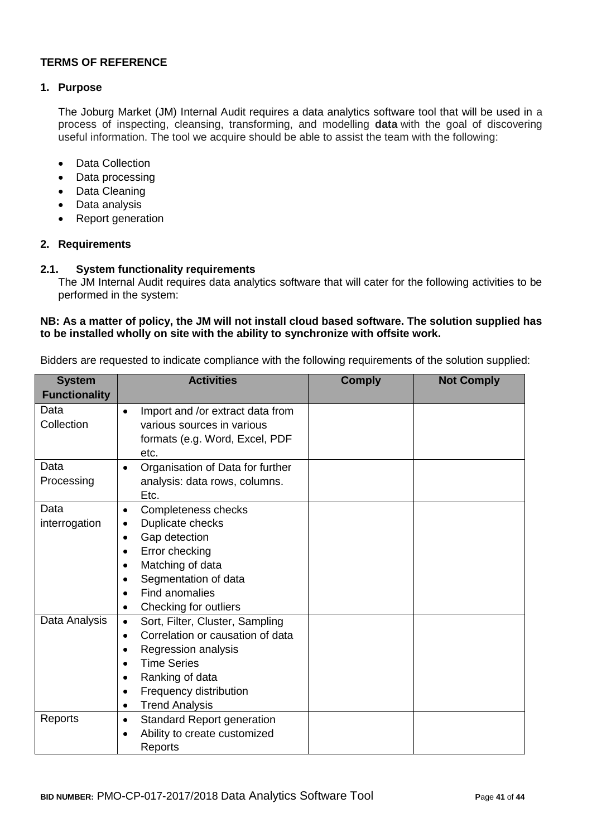### **TERMS OF REFERENCE**

#### **1. Purpose**

The Joburg Market (JM) Internal Audit requires a data analytics software tool that will be used in a process of inspecting, cleansing, transforming, and modelling **data** with the goal of discovering useful information. The tool we acquire should be able to assist the team with the following:

- Data Collection
- Data processing
- Data Cleaning
- Data analysis
- Report generation

#### **2. Requirements**

#### **2.1. System functionality requirements**

The JM Internal Audit requires data analytics software that will cater for the following activities to be performed in the system:

#### **NB: As a matter of policy, the JM will not install cloud based software. The solution supplied has to be installed wholly on site with the ability to synchronize with offsite work.**

Bidders are requested to indicate compliance with the following requirements of the solution supplied:

| <b>System</b>        | <b>Activities</b>                              | <b>Comply</b> | <b>Not Comply</b> |
|----------------------|------------------------------------------------|---------------|-------------------|
| <b>Functionality</b> |                                                |               |                   |
| Data                 | Import and /or extract data from<br>$\bullet$  |               |                   |
| Collection           | various sources in various                     |               |                   |
|                      | formats (e.g. Word, Excel, PDF                 |               |                   |
|                      | etc.                                           |               |                   |
| Data                 | Organisation of Data for further<br>$\bullet$  |               |                   |
| Processing           | analysis: data rows, columns.                  |               |                   |
|                      | Etc.                                           |               |                   |
| Data                 | Completeness checks<br>٠                       |               |                   |
| interrogation        | Duplicate checks<br>$\bullet$                  |               |                   |
|                      | Gap detection<br>$\bullet$                     |               |                   |
|                      | Error checking                                 |               |                   |
|                      | Matching of data<br>$\bullet$                  |               |                   |
|                      | Segmentation of data<br>$\bullet$              |               |                   |
|                      | Find anomalies<br>$\bullet$                    |               |                   |
|                      | Checking for outliers<br>٠                     |               |                   |
| Data Analysis        | Sort, Filter, Cluster, Sampling<br>$\bullet$   |               |                   |
|                      | Correlation or causation of data<br>$\bullet$  |               |                   |
|                      | Regression analysis<br>$\bullet$               |               |                   |
|                      | <b>Time Series</b><br>$\bullet$                |               |                   |
|                      | Ranking of data<br>$\bullet$                   |               |                   |
|                      | Frequency distribution<br>$\bullet$            |               |                   |
|                      | <b>Trend Analysis</b><br>٠                     |               |                   |
| Reports              | <b>Standard Report generation</b><br>$\bullet$ |               |                   |
|                      | Ability to create customized<br>$\bullet$      |               |                   |
|                      | Reports                                        |               |                   |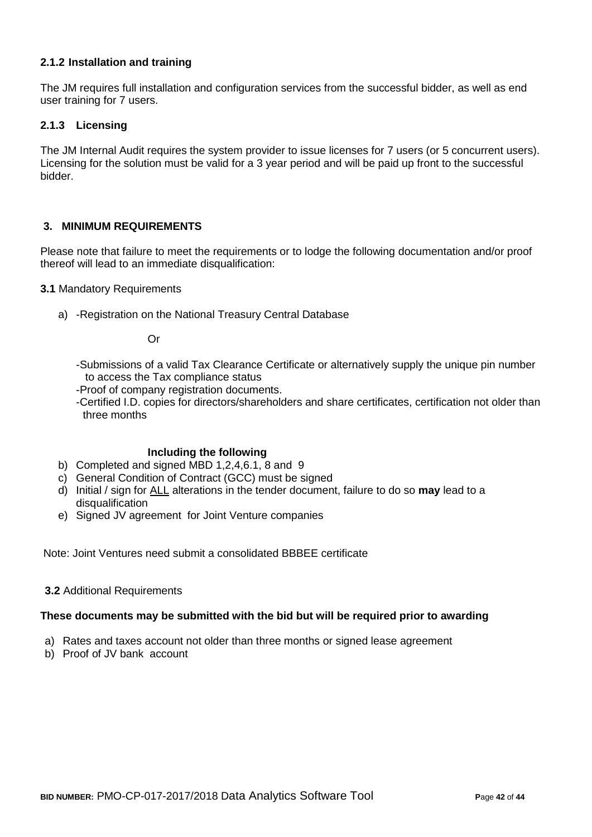### **2.1.2 Installation and training**

The JM requires full installation and configuration services from the successful bidder, as well as end user training for 7 users.

## **2.1.3 Licensing**

The JM Internal Audit requires the system provider to issue licenses for 7 users (or 5 concurrent users). Licensing for the solution must be valid for a 3 year period and will be paid up front to the successful bidder.

#### **3. MINIMUM REQUIREMENTS**

Please note that failure to meet the requirements or to lodge the following documentation and/or proof thereof will lead to an immediate disqualification:

#### **3.1** Mandatory Requirements

a) -Registration on the National Treasury Central Database

Or

- -Submissions of a valid Tax Clearance Certificate or alternatively supply the unique pin number to access the Tax compliance status
- -Proof of company registration documents.
- -Certified I.D. copies for directors/shareholders and share certificates, certification not older than three months

#### **Including the following**

- b) Completed and signed MBD 1,2,4,6.1, 8 and 9
- c) General Condition of Contract (GCC) must be signed
- d) Initial / sign for ALL alterations in the tender document, failure to do so **may** lead to a disqualification
- e) Signed JV agreement for Joint Venture companies

Note: Joint Ventures need submit a consolidated BBBEE certificate

#### **3.2** Additional Requirements

#### **These documents may be submitted with the bid but will be required prior to awarding**

- a) Rates and taxes account not older than three months or signed lease agreement
- b) Proof of JV bank account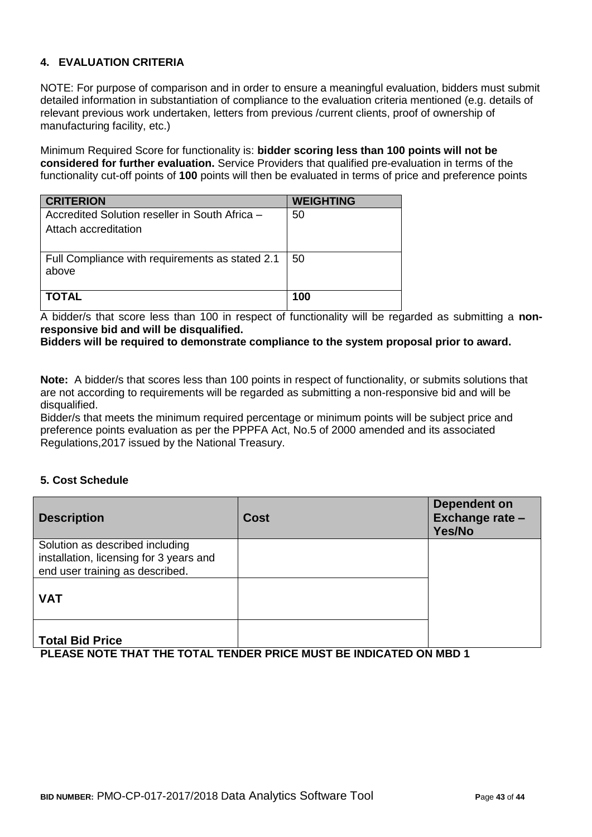# **4. EVALUATION CRITERIA**

NOTE: For purpose of comparison and in order to ensure a meaningful evaluation, bidders must submit detailed information in substantiation of compliance to the evaluation criteria mentioned (e.g. details of relevant previous work undertaken, letters from previous /current clients, proof of ownership of manufacturing facility, etc.)

Minimum Required Score for functionality is: **bidder scoring less than 100 points will not be considered for further evaluation.** Service Providers that qualified pre-evaluation in terms of the functionality cut-off points of **100** points will then be evaluated in terms of price and preference points

| <b>CRITERION</b>                                                       | <b>WEIGHTING</b> |
|------------------------------------------------------------------------|------------------|
| Accredited Solution reseller in South Africa -<br>Attach accreditation | 50               |
| Full Compliance with requirements as stated 2.1<br>above               | 50               |
| <b>TOTAL</b>                                                           | 100              |

A bidder/s that score less than 100 in respect of functionality will be regarded as submitting a **nonresponsive bid and will be disqualified.**

#### **Bidders will be required to demonstrate compliance to the system proposal prior to award.**

**Note:** A bidder/s that scores less than 100 points in respect of functionality, or submits solutions that are not according to requirements will be regarded as submitting a non-responsive bid and will be disqualified.

Bidder/s that meets the minimum required percentage or minimum points will be subject price and preference points evaluation as per the PPPFA Act, No.5 of 2000 amended and its associated Regulations,2017 issued by the National Treasury.

#### **5. Cost Schedule**

| <b>Description</b>                                                         | <b>Cost</b> | <b>Dependent on</b><br>Exchange rate -<br>Yes/No |
|----------------------------------------------------------------------------|-------------|--------------------------------------------------|
| Solution as described including                                            |             |                                                  |
| installation, licensing for 3 years and<br>end user training as described. |             |                                                  |
| <b>VAT</b>                                                                 |             |                                                  |
| <b>Total Bid Price</b>                                                     |             |                                                  |

**PLEASE NOTE THAT THE TOTAL TENDER PRICE MUST BE INDICATED ON MBD 1**